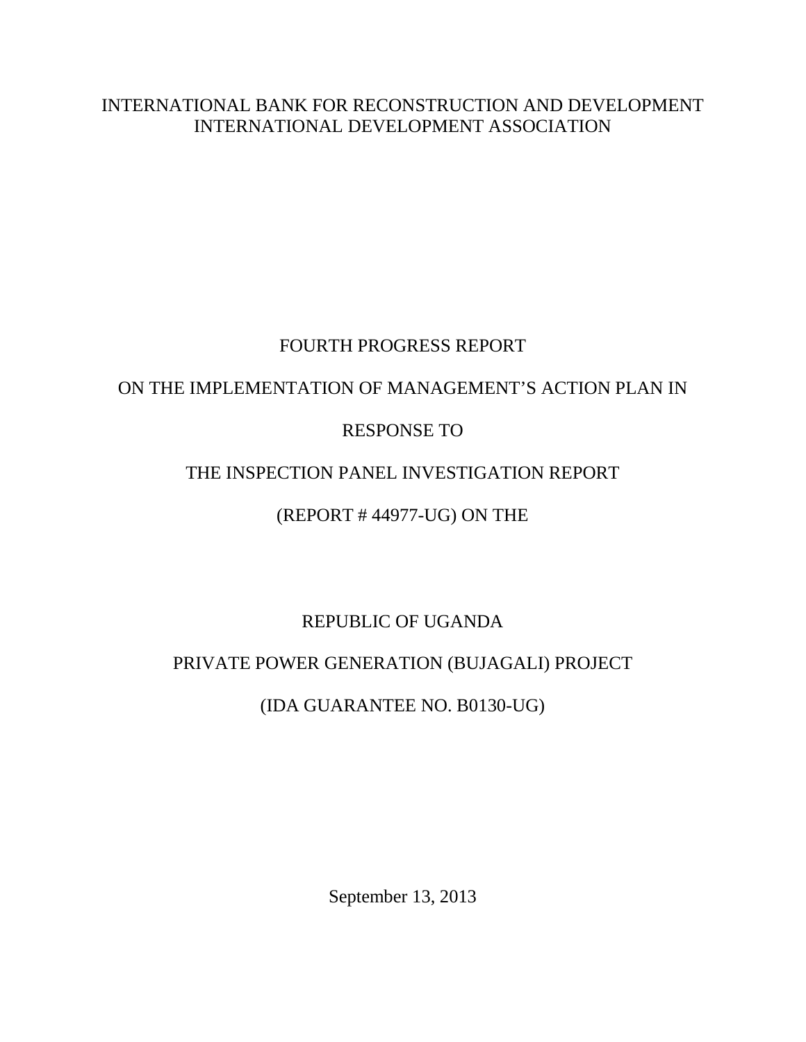INTERNATIONAL BANK FOR RECONSTRUCTION AND DEVELOPMENT INTERNATIONAL DEVELOPMENT ASSOCIATION

## FOURTH PROGRESS REPORT

# ON THE IMPLEMENTATION OF MANAGEMENT'S ACTION PLAN IN

## RESPONSE TO

# THE INSPECTION PANEL INVESTIGATION REPORT

## (REPORT # 44977-UG) ON THE

# REPUBLIC OF UGANDA

# PRIVATE POWER GENERATION (BUJAGALI) PROJECT

# (IDA GUARANTEE NO. B0130-UG)

September 13, 2013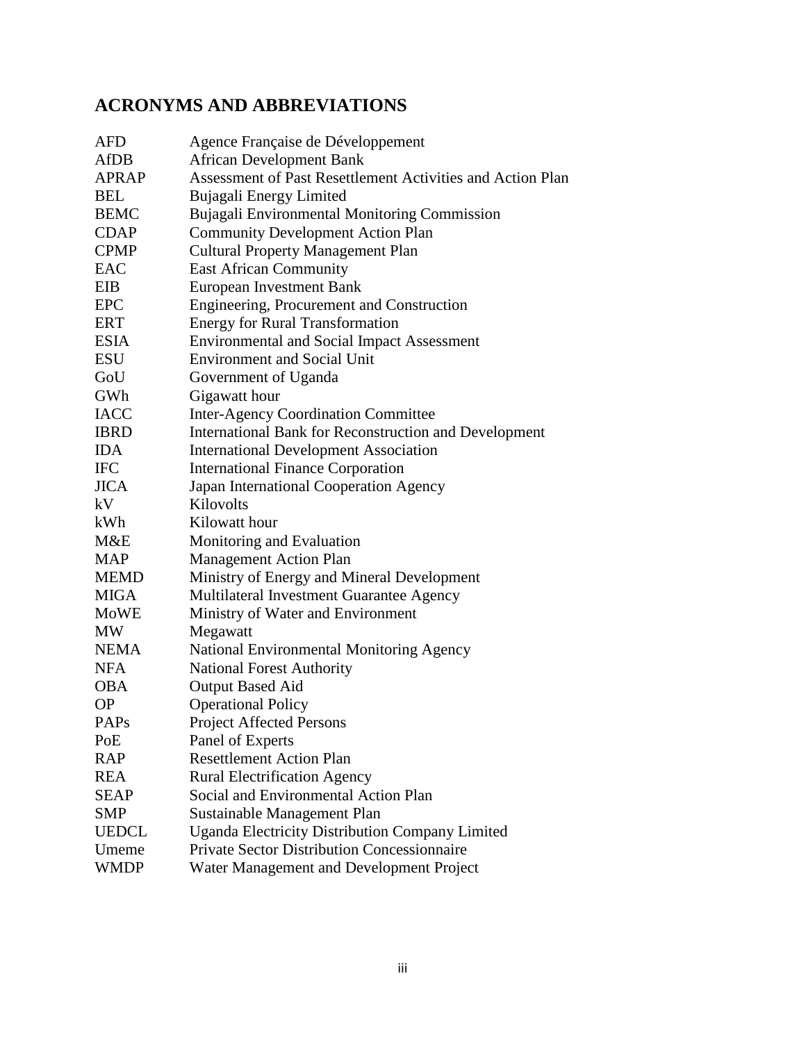# **ACRONYMS AND ABBREVIATIONS**

| <b>AFD</b>   | Agence Française de Développement                            |
|--------------|--------------------------------------------------------------|
| <b>AfDB</b>  | <b>African Development Bank</b>                              |
| <b>APRAP</b> | Assessment of Past Resettlement Activities and Action Plan   |
| <b>BEL</b>   | Bujagali Energy Limited                                      |
| <b>BEMC</b>  | Bujagali Environmental Monitoring Commission                 |
| <b>CDAP</b>  | <b>Community Development Action Plan</b>                     |
| <b>CPMP</b>  | <b>Cultural Property Management Plan</b>                     |
| EAC          | <b>East African Community</b>                                |
| EIB          | <b>European Investment Bank</b>                              |
| <b>EPC</b>   | Engineering, Procurement and Construction                    |
| <b>ERT</b>   | <b>Energy for Rural Transformation</b>                       |
| <b>ESIA</b>  | <b>Environmental and Social Impact Assessment</b>            |
| <b>ESU</b>   | <b>Environment and Social Unit</b>                           |
| GoU          | Government of Uganda                                         |
| GWh          | Gigawatt hour                                                |
| <b>IACC</b>  | <b>Inter-Agency Coordination Committee</b>                   |
| <b>IBRD</b>  | <b>International Bank for Reconstruction and Development</b> |
| <b>IDA</b>   | <b>International Development Association</b>                 |
| <b>IFC</b>   | <b>International Finance Corporation</b>                     |
| <b>JICA</b>  | Japan International Cooperation Agency                       |
| kV           | Kilovolts                                                    |
| kWh          | Kilowatt hour                                                |
| M&E          | Monitoring and Evaluation                                    |
| <b>MAP</b>   | <b>Management Action Plan</b>                                |
| <b>MEMD</b>  | Ministry of Energy and Mineral Development                   |
| <b>MIGA</b>  | Multilateral Investment Guarantee Agency                     |
| <b>MoWE</b>  | Ministry of Water and Environment                            |
| <b>MW</b>    | Megawatt                                                     |
| <b>NEMA</b>  | National Environmental Monitoring Agency                     |
| <b>NFA</b>   | <b>National Forest Authority</b>                             |
| <b>OBA</b>   | <b>Output Based Aid</b>                                      |
| <b>OP</b>    | <b>Operational Policy</b>                                    |
| <b>PAPs</b>  | <b>Project Affected Persons</b>                              |
| PoE          | Panel of Experts                                             |
| <b>RAP</b>   | <b>Resettlement Action Plan</b>                              |
| <b>REA</b>   | <b>Rural Electrification Agency</b>                          |
| <b>SEAP</b>  | Social and Environmental Action Plan                         |
| <b>SMP</b>   | Sustainable Management Plan                                  |
| <b>UEDCL</b> | <b>Uganda Electricity Distribution Company Limited</b>       |
| Umeme        | <b>Private Sector Distribution Concessionnaire</b>           |
| <b>WMDP</b>  | Water Management and Development Project                     |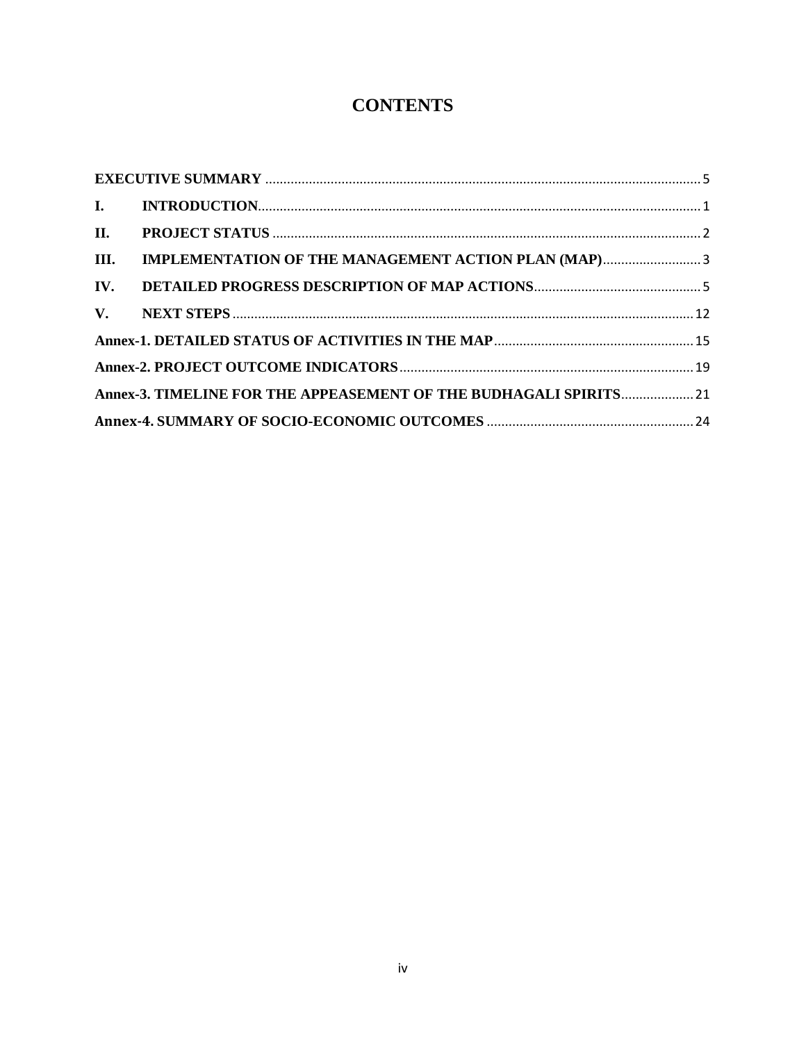# **CONTENTS**

| III. | IMPLEMENTATION OF THE MANAGEMENT ACTION PLAN (MAP)3               |  |
|------|-------------------------------------------------------------------|--|
|      |                                                                   |  |
|      |                                                                   |  |
|      |                                                                   |  |
|      |                                                                   |  |
|      | Annex-3. TIMELINE FOR THE APPEASEMENT OF THE BUDHAGALI SPIRITS 21 |  |
|      |                                                                   |  |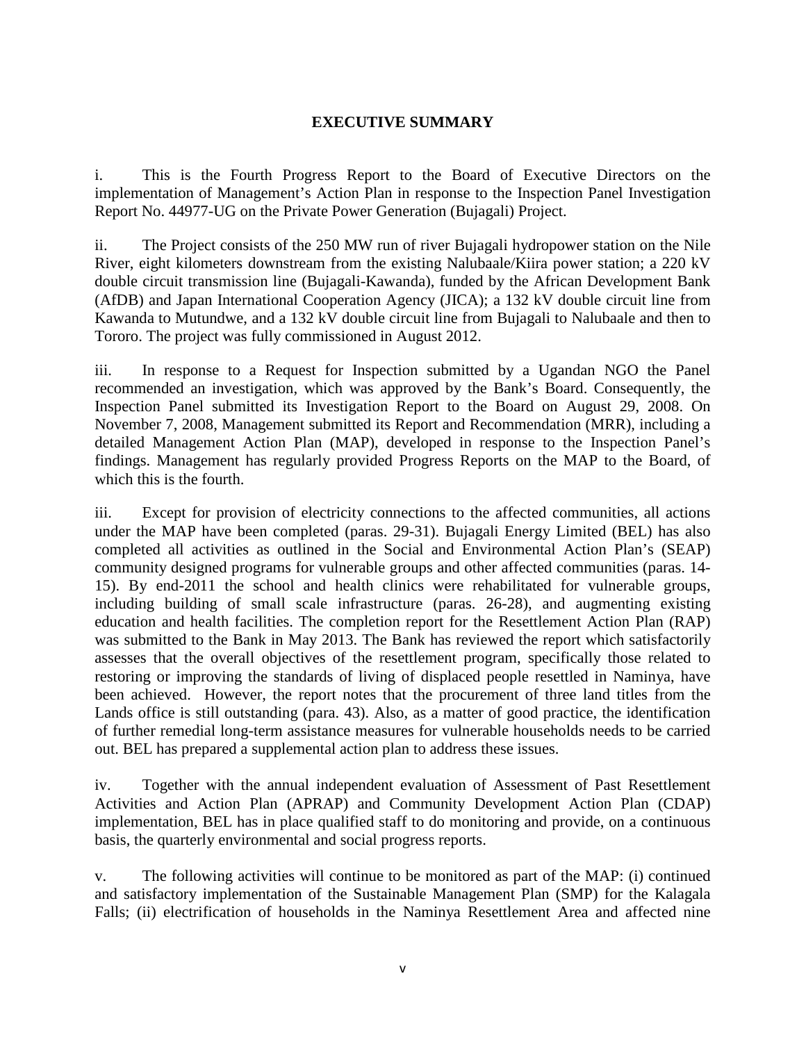### **EXECUTIVE SUMMARY**

<span id="page-4-0"></span>i. This is the Fourth Progress Report to the Board of Executive Directors on the implementation of Management's Action Plan in response to the Inspection Panel Investigation Report No. 44977-UG on the Private Power Generation (Bujagali) Project.

ii. The Project consists of the 250 MW run of river Bujagali hydropower station on the Nile River, eight kilometers downstream from the existing Nalubaale/Kiira power station; a 220 kV double circuit transmission line (Bujagali-Kawanda), funded by the African Development Bank (AfDB) and Japan International Cooperation Agency (JICA); a 132 kV double circuit line from Kawanda to Mutundwe, and a 132 kV double circuit line from Bujagali to Nalubaale and then to Tororo. The project was fully commissioned in August 2012.

iii. In response to a Request for Inspection submitted by a Ugandan NGO the Panel recommended an investigation, which was approved by the Bank's Board. Consequently, the Inspection Panel submitted its Investigation Report to the Board on August 29, 2008. On November 7, 2008, Management submitted its Report and Recommendation (MRR), including a detailed Management Action Plan (MAP), developed in response to the Inspection Panel's findings. Management has regularly provided Progress Reports on the MAP to the Board, of which this is the fourth.

iii. Except for provision of electricity connections to the affected communities, all actions under the MAP have been completed (paras. [29-](#page-14-0)[31\)](#page-15-0). Bujagali Energy Limited (BEL) has also completed all activities as outlined in the Social and Environmental Action Plan's (SEAP) community designed programs for vulnerable groups and other affected communities (paras. [14-](#page-10-1) [15\)](#page-10-2). By end-2011 the school and health clinics were rehabilitated for vulnerable groups, including building of small scale infrastructure (paras. [26-](#page-13-0)[28\)](#page-14-1), and augmenting existing education and health facilities. The completion report for the Resettlement Action Plan (RAP) was submitted to the Bank in May 2013. The Bank has reviewed the report which satisfactorily assesses that the overall objectives of the resettlement program, specifically those related to restoring or improving the standards of living of displaced people resettled in Naminya, have been achieved. However, the report notes that the procurement of three land titles from the Lands office is still outstanding (para. [43\)](#page-18-0). Also, as a matter of good practice, the identification of further remedial long-term assistance measures for vulnerable households needs to be carried out. BEL has prepared a supplemental action plan to address these issues.

iv. Together with the annual independent evaluation of Assessment of Past Resettlement Activities and Action Plan (APRAP) and Community Development Action Plan (CDAP) implementation, BEL has in place qualified staff to do monitoring and provide, on a continuous basis, the quarterly environmental and social progress reports.

v. The following activities will continue to be monitored as part of the MAP: (i) continued and satisfactory implementation of the Sustainable Management Plan (SMP) for the Kalagala Falls; (ii) electrification of households in the Naminya Resettlement Area and affected nine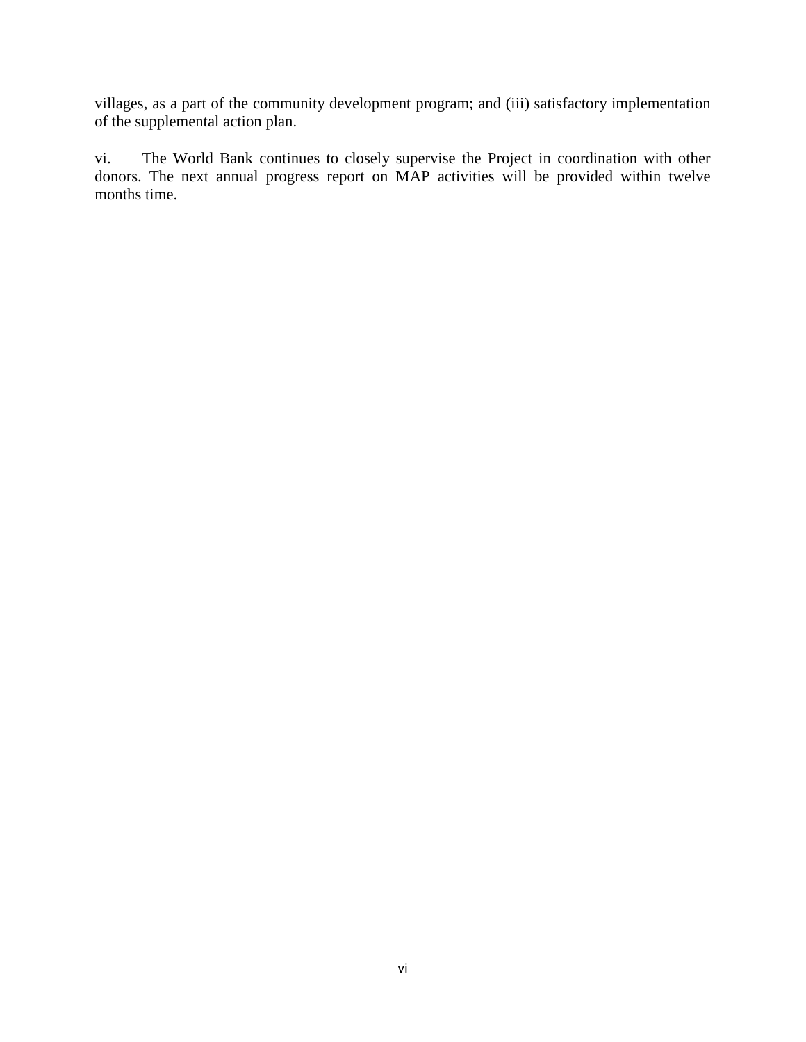villages, as a part of the community development program; and (iii) satisfactory implementation of the supplemental action plan.

vi. The World Bank continues to closely supervise the Project in coordination with other donors. The next annual progress report on MAP activities will be provided within twelve months time.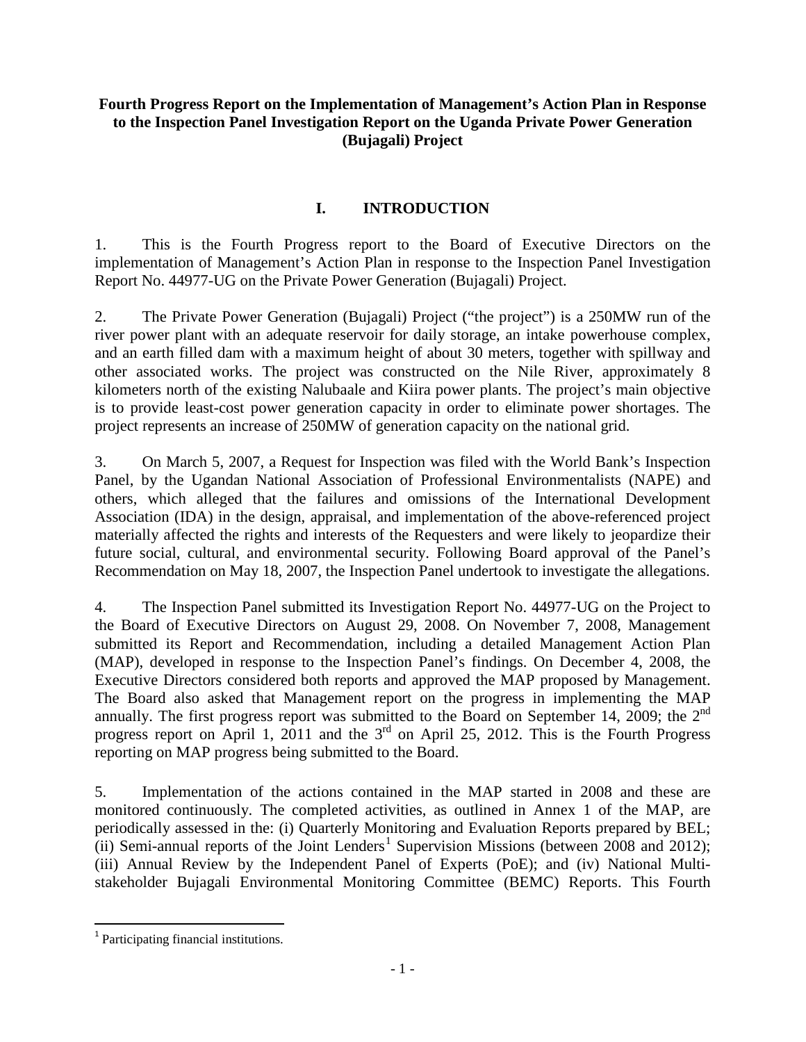### **Fourth Progress Report on the Implementation of Management's Action Plan in Response to the Inspection Panel Investigation Report on the Uganda Private Power Generation (Bujagali) Project**

### **I. INTRODUCTION**

<span id="page-6-0"></span>1. This is the Fourth Progress report to the Board of Executive Directors on the implementation of Management's Action Plan in response to the Inspection Panel Investigation Report No. 44977-UG on the Private Power Generation (Bujagali) Project.

2. The Private Power Generation (Bujagali) Project ("the project") is a 250MW run of the river power plant with an adequate reservoir for daily storage, an intake powerhouse complex, and an earth filled dam with a maximum height of about 30 meters, together with spillway and other associated works. The project was constructed on the Nile River, approximately 8 kilometers north of the existing Nalubaale and Kiira power plants. The project's main objective is to provide least-cost power generation capacity in order to eliminate power shortages. The project represents an increase of 250MW of generation capacity on the national grid.

3. On March 5, 2007, a Request for Inspection was filed with the World Bank's Inspection Panel, by the Ugandan National Association of Professional Environmentalists (NAPE) and others, which alleged that the failures and omissions of the International Development Association (IDA) in the design, appraisal, and implementation of the above-referenced project materially affected the rights and interests of the Requesters and were likely to jeopardize their future social, cultural, and environmental security. Following Board approval of the Panel's Recommendation on May 18, 2007, the Inspection Panel undertook to investigate the allegations.

4. The Inspection Panel submitted its Investigation Report No. 44977-UG on the Project to the Board of Executive Directors on August 29, 2008. On November 7, 2008, Management submitted its Report and Recommendation, including a detailed Management Action Plan (MAP), developed in response to the Inspection Panel's findings. On December 4, 2008, the Executive Directors considered both reports and approved the MAP proposed by Management. The Board also asked that Management report on the progress in implementing the MAP annually. The first progress report was submitted to the Board on September 14, 2009; the 2<sup>nd</sup> progress report on April 1, 2011 and the  $3<sup>rd</sup>$  on April 25, 2012. This is the Fourth Progress reporting on MAP progress being submitted to the Board.

5. Implementation of the actions contained in the MAP started in 2008 and these are monitored continuously. The completed activities, as outlined in Annex 1 of the MAP, are periodically assessed in the: (i) Quarterly Monitoring and Evaluation Reports prepared by BEL; (ii) Semi-annual reports of the Joint Lenders<sup>[1](#page-6-1)</sup> Supervision Missions (between 2008 and 2012); (iii) Annual Review by the Independent Panel of Experts (PoE); and (iv) National Multistakeholder Bujagali Environmental Monitoring Committee (BEMC) Reports. This Fourth

<span id="page-6-1"></span> <sup>1</sup> Participating financial institutions.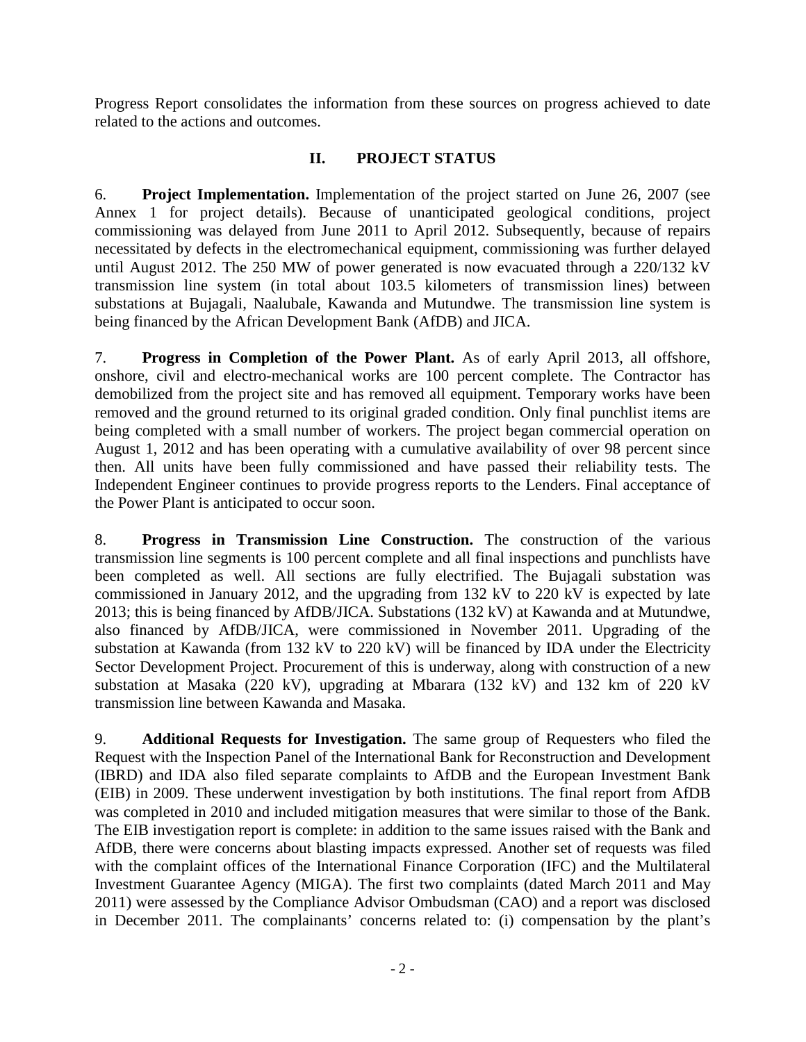Progress Report consolidates the information from these sources on progress achieved to date related to the actions and outcomes.

### **II. PROJECT STATUS**

<span id="page-7-0"></span>6. **Project Implementation.** Implementation of the project started on June 26, 2007 (see Annex 1 for project details). Because of unanticipated geological conditions, project commissioning was delayed from June 2011 to April 2012. Subsequently, because of repairs necessitated by defects in the electromechanical equipment, commissioning was further delayed until August 2012. The 250 MW of power generated is now evacuated through a 220/132 kV transmission line system (in total about 103.5 kilometers of transmission lines) between substations at Bujagali, Naalubale, Kawanda and Mutundwe. The transmission line system is being financed by the African Development Bank (AfDB) and JICA.

7. **Progress in Completion of the Power Plant.** As of early April 2013, all offshore, onshore, civil and electro-mechanical works are 100 percent complete. The Contractor has demobilized from the project site and has removed all equipment. Temporary works have been removed and the ground returned to its original graded condition. Only final punchlist items are being completed with a small number of workers. The project began commercial operation on August 1, 2012 and has been operating with a cumulative availability of over 98 percent since then. All units have been fully commissioned and have passed their reliability tests. The Independent Engineer continues to provide progress reports to the Lenders. Final acceptance of the Power Plant is anticipated to occur soon.

8. **Progress in Transmission Line Construction.** The construction of the various transmission line segments is 100 percent complete and all final inspections and punchlists have been completed as well. All sections are fully electrified. The Bujagali substation was commissioned in January 2012, and the upgrading from 132 kV to 220 kV is expected by late 2013; this is being financed by AfDB/JICA. Substations (132 kV) at Kawanda and at Mutundwe, also financed by AfDB/JICA, were commissioned in November 2011. Upgrading of the substation at Kawanda (from 132 kV to 220 kV) will be financed by IDA under the Electricity Sector Development Project. Procurement of this is underway, along with construction of a new substation at Masaka (220 kV), upgrading at Mbarara (132 kV) and 132 km of 220 kV transmission line between Kawanda and Masaka.

9. **Additional Requests for Investigation.** The same group of Requesters who filed the Request with the Inspection Panel of the International Bank for Reconstruction and Development (IBRD) and IDA also filed separate complaints to AfDB and the European Investment Bank (EIB) in 2009. These underwent investigation by both institutions. The final report from AfDB was completed in 2010 and included mitigation measures that were similar to those of the Bank. The EIB investigation report is complete: in addition to the same issues raised with the Bank and AfDB, there were concerns about blasting impacts expressed. Another set of requests was filed with the complaint offices of the International Finance Corporation (IFC) and the Multilateral Investment Guarantee Agency (MIGA). The first two complaints (dated March 2011 and May 2011) were assessed by the Compliance Advisor Ombudsman (CAO) and a report was disclosed in December 2011. The complainants' concerns related to: (i) compensation by the plant's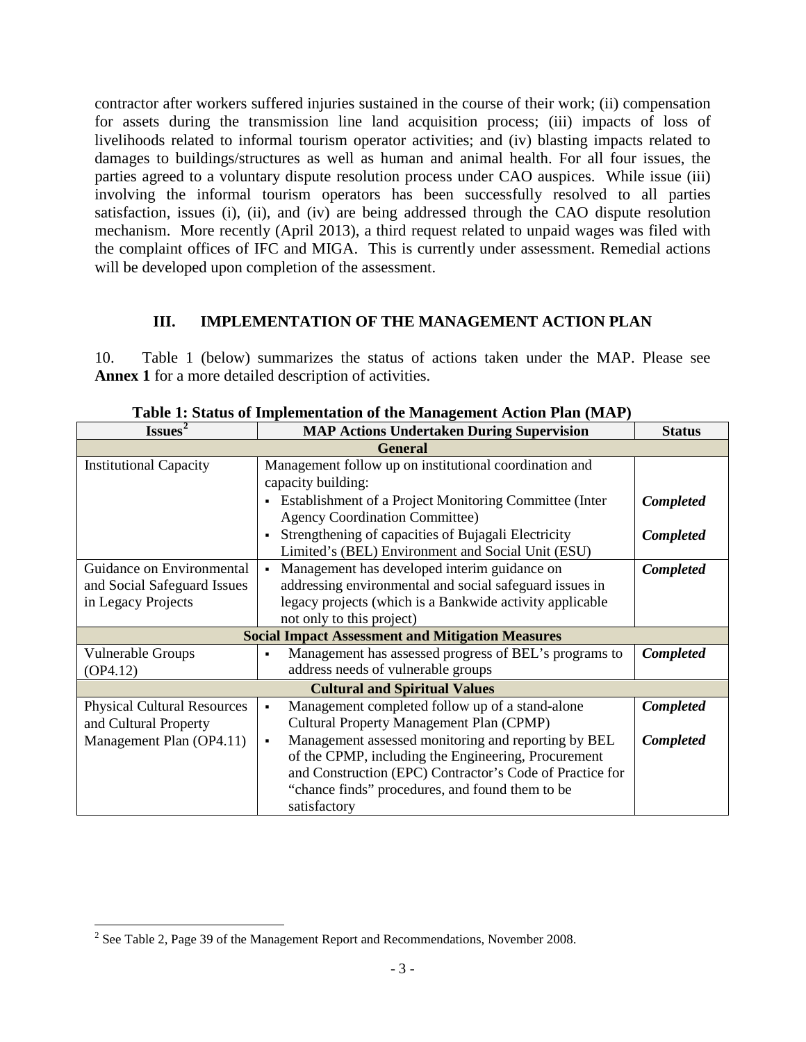contractor after workers suffered injuries sustained in the course of their work; (ii) compensation for assets during the transmission line land acquisition process; (iii) impacts of loss of livelihoods related to informal tourism operator activities; and (iv) blasting impacts related to damages to buildings/structures as well as human and animal health. For all four issues, the parties agreed to a voluntary dispute resolution process under CAO auspices. While issue (iii) involving the informal tourism operators has been successfully resolved to all parties satisfaction, issues (i), (ii), and (iv) are being addressed through the CAO dispute resolution mechanism. More recently (April 2013), a third request related to unpaid wages was filed with the complaint offices of IFC and MIGA. This is currently under assessment. Remedial actions will be developed upon completion of the assessment.

### **III. IMPLEMENTATION OF THE MANAGEMENT ACTION PLAN**

<span id="page-8-0"></span>10. Table 1 (below) summarizes the status of actions taken under the MAP. Please see **Annex 1** for a more detailed description of activities.

| Issues <sup>2</sup>                | <b>MAP Actions Undertaken During Supervision</b>                                                  | <b>Status</b>    |  |  |  |
|------------------------------------|---------------------------------------------------------------------------------------------------|------------------|--|--|--|
| <b>General</b>                     |                                                                                                   |                  |  |  |  |
| <b>Institutional Capacity</b>      | Management follow up on institutional coordination and                                            |                  |  |  |  |
|                                    | capacity building:                                                                                |                  |  |  |  |
|                                    | • Establishment of a Project Monitoring Committee (Inter<br><b>Agency Coordination Committee)</b> | Completed        |  |  |  |
|                                    | Strengthening of capacities of Bujagali Electricity                                               | <b>Completed</b> |  |  |  |
|                                    | Limited's (BEL) Environment and Social Unit (ESU)                                                 |                  |  |  |  |
| Guidance on Environmental          | Management has developed interim guidance on                                                      | <b>Completed</b> |  |  |  |
| and Social Safeguard Issues        | addressing environmental and social safeguard issues in                                           |                  |  |  |  |
| in Legacy Projects                 | legacy projects (which is a Bankwide activity applicable                                          |                  |  |  |  |
|                                    | not only to this project)                                                                         |                  |  |  |  |
|                                    | <b>Social Impact Assessment and Mitigation Measures</b>                                           |                  |  |  |  |
| Vulnerable Groups                  | Management has assessed progress of BEL's programs to                                             | Completed        |  |  |  |
| OP4.12)                            | address needs of vulnerable groups                                                                |                  |  |  |  |
|                                    | <b>Cultural and Spiritual Values</b>                                                              |                  |  |  |  |
| <b>Physical Cultural Resources</b> | Management completed follow up of a stand-alone<br>$\blacksquare$                                 | Completed        |  |  |  |
| and Cultural Property              | Cultural Property Management Plan (CPMP)                                                          |                  |  |  |  |
| Management Plan (OP4.11)           | Management assessed monitoring and reporting by BEL<br>٠                                          | Completed        |  |  |  |
|                                    | of the CPMP, including the Engineering, Procurement                                               |                  |  |  |  |
|                                    | and Construction (EPC) Contractor's Code of Practice for                                          |                  |  |  |  |
|                                    | "chance finds" procedures, and found them to be                                                   |                  |  |  |  |
|                                    | satisfactory                                                                                      |                  |  |  |  |

**Table 1: Status of Implementation of the Management Action Plan (MAP)** 

<span id="page-8-1"></span><sup>&</sup>lt;sup>2</sup> See Table 2, Page 39 of the Management Report and Recommendations, November 2008.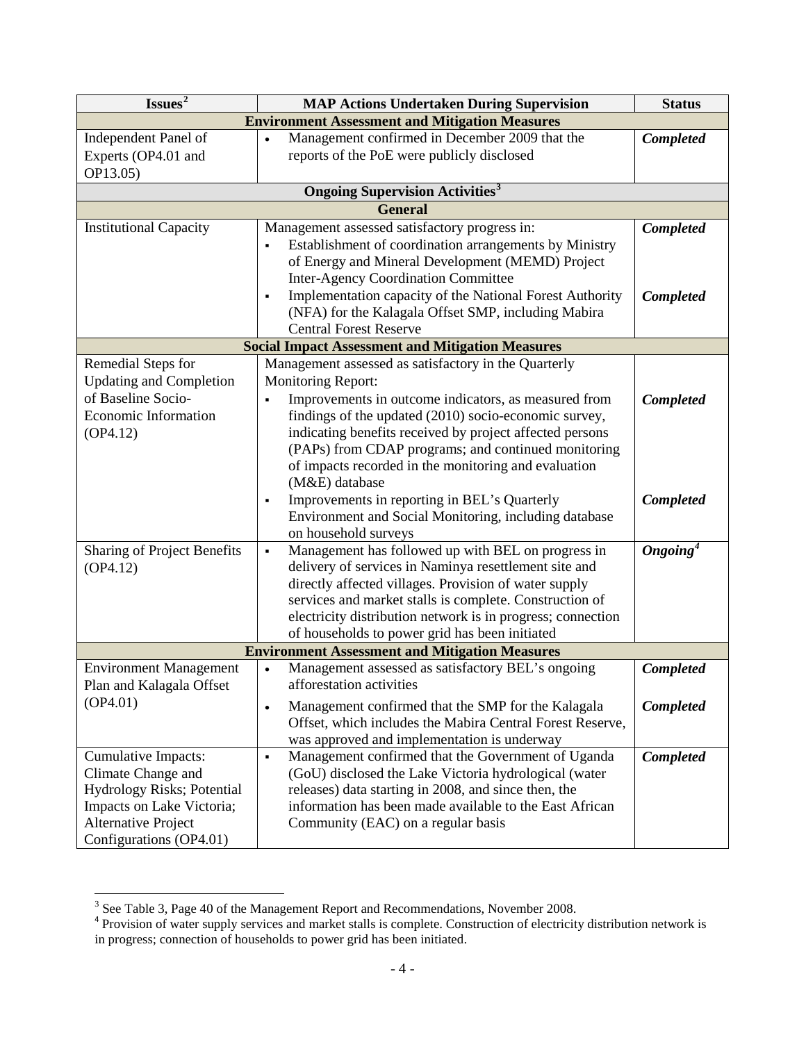| Issues <sup>2</sup><br><b>MAP Actions Undertaken During Supervision</b> |                                                                                                                                                                    |                      |  |  |
|-------------------------------------------------------------------------|--------------------------------------------------------------------------------------------------------------------------------------------------------------------|----------------------|--|--|
| <b>Environment Assessment and Mitigation Measures</b>                   |                                                                                                                                                                    |                      |  |  |
| Independent Panel of<br>Experts (OP4.01 and<br>OP13.05)                 | Management confirmed in December 2009 that the<br>reports of the PoE were publicly disclosed                                                                       | <b>Completed</b>     |  |  |
|                                                                         | <b>Ongoing Supervision Activities</b> <sup>3</sup>                                                                                                                 |                      |  |  |
|                                                                         | <b>General</b>                                                                                                                                                     |                      |  |  |
| <b>Institutional Capacity</b>                                           | Management assessed satisfactory progress in:                                                                                                                      | <b>Completed</b>     |  |  |
|                                                                         | Establishment of coordination arrangements by Ministry<br>of Energy and Mineral Development (MEMD) Project                                                         |                      |  |  |
|                                                                         | <b>Inter-Agency Coordination Committee</b>                                                                                                                         |                      |  |  |
|                                                                         | Implementation capacity of the National Forest Authority<br>$\blacksquare$<br>(NFA) for the Kalagala Offset SMP, including Mabira<br><b>Central Forest Reserve</b> | <b>Completed</b>     |  |  |
|                                                                         | <b>Social Impact Assessment and Mitigation Measures</b>                                                                                                            |                      |  |  |
| Remedial Steps for                                                      | Management assessed as satisfactory in the Quarterly                                                                                                               |                      |  |  |
| <b>Updating and Completion</b>                                          | <b>Monitoring Report:</b>                                                                                                                                          |                      |  |  |
| of Baseline Socio-                                                      | Improvements in outcome indicators, as measured from                                                                                                               | Completed            |  |  |
| Economic Information                                                    | findings of the updated (2010) socio-economic survey,                                                                                                              |                      |  |  |
| OP4.12)                                                                 | indicating benefits received by project affected persons                                                                                                           |                      |  |  |
|                                                                         | (PAPs) from CDAP programs; and continued monitoring                                                                                                                |                      |  |  |
|                                                                         | of impacts recorded in the monitoring and evaluation                                                                                                               |                      |  |  |
|                                                                         | (M&E) database                                                                                                                                                     |                      |  |  |
|                                                                         | Improvements in reporting in BEL's Quarterly<br>$\blacksquare$                                                                                                     | <b>Completed</b>     |  |  |
|                                                                         | Environment and Social Monitoring, including database                                                                                                              |                      |  |  |
| Sharing of Project Benefits                                             | on household surveys<br>Management has followed up with BEL on progress in<br>$\blacksquare$                                                                       | Ongoing <sup>4</sup> |  |  |
| (OP4.12)                                                                | delivery of services in Naminya resettlement site and                                                                                                              |                      |  |  |
|                                                                         | directly affected villages. Provision of water supply                                                                                                              |                      |  |  |
|                                                                         | services and market stalls is complete. Construction of                                                                                                            |                      |  |  |
|                                                                         | electricity distribution network is in progress; connection                                                                                                        |                      |  |  |
|                                                                         | of households to power grid has been initiated                                                                                                                     |                      |  |  |
|                                                                         | <b>Environment Assessment and Mitigation Measures</b>                                                                                                              |                      |  |  |
| <b>Environment Management</b>                                           | Management assessed as satisfactory BEL's ongoing                                                                                                                  | <b>Completed</b>     |  |  |
| Plan and Kalagala Offset                                                | afforestation activities                                                                                                                                           |                      |  |  |
| (OP4.01)                                                                | Management confirmed that the SMP for the Kalagala<br>$\bullet$                                                                                                    | <b>Completed</b>     |  |  |
|                                                                         | Offset, which includes the Mabira Central Forest Reserve,                                                                                                          |                      |  |  |
|                                                                         | was approved and implementation is underway                                                                                                                        |                      |  |  |
| Cumulative Impacts:                                                     | Management confirmed that the Government of Uganda<br>$\blacksquare$                                                                                               | <b>Completed</b>     |  |  |
| Climate Change and                                                      | (GoU) disclosed the Lake Victoria hydrological (water                                                                                                              |                      |  |  |
| Hydrology Risks; Potential                                              | releases) data starting in 2008, and since then, the                                                                                                               |                      |  |  |
| Impacts on Lake Victoria;                                               | information has been made available to the East African                                                                                                            |                      |  |  |
| Alternative Project                                                     | Community (EAC) on a regular basis                                                                                                                                 |                      |  |  |
| Configurations (OP4.01)                                                 |                                                                                                                                                                    |                      |  |  |

<sup>&</sup>lt;sup>3</sup> See Table 3, Page 40 of the Management Report and Recommendations, November 2008.

<span id="page-9-1"></span><span id="page-9-0"></span><sup>&</sup>lt;sup>4</sup> Provision of water supply services and market stalls is complete. Construction of electricity distribution network is in progress; connection of households to power grid has been initiated.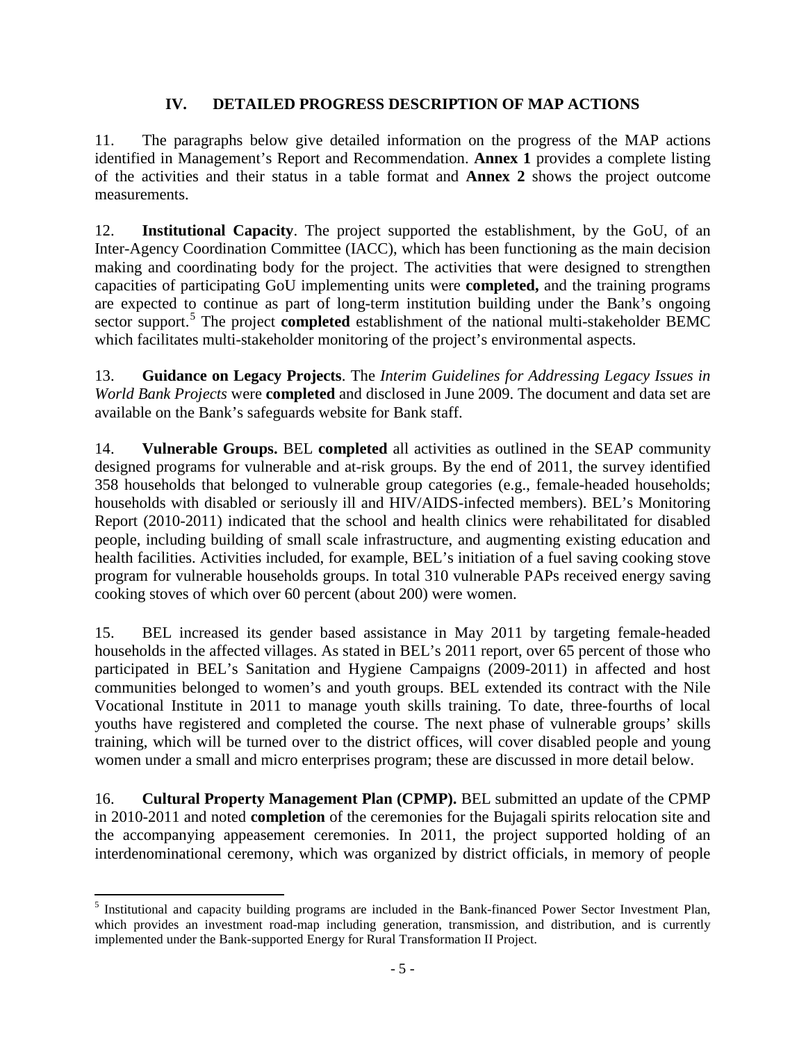### **IV. DETAILED PROGRESS DESCRIPTION OF MAP ACTIONS**

<span id="page-10-0"></span>11. The paragraphs below give detailed information on the progress of the MAP actions identified in Management's Report and Recommendation. **Annex 1** provides a complete listing of the activities and their status in a table format and **Annex 2** shows the project outcome measurements.

12. **Institutional Capacity**. The project supported the establishment, by the GoU, of an Inter-Agency Coordination Committee (IACC), which has been functioning as the main decision making and coordinating body for the project. The activities that were designed to strengthen capacities of participating GoU implementing units were **completed,** and the training programs are expected to continue as part of long-term institution building under the Bank's ongoing sector support.<sup>[5](#page-10-3)</sup> The project **completed** establishment of the national multi-stakeholder BEMC which facilitates multi-stakeholder monitoring of the project's environmental aspects.

13. **Guidance on Legacy Projects**. The *Interim Guidelines for Addressing Legacy Issues in World Bank Projects* were **completed** and disclosed in June 2009. The document and data set are available on the Bank's safeguards website for Bank staff.

<span id="page-10-1"></span>14. **Vulnerable Groups.** BEL **completed** all activities as outlined in the SEAP community designed programs for vulnerable and at-risk groups. By the end of 2011, the survey identified 358 households that belonged to vulnerable group categories (e.g., female-headed households; households with disabled or seriously ill and HIV/AIDS-infected members). BEL's Monitoring Report (2010-2011) indicated that the school and health clinics were rehabilitated for disabled people, including building of small scale infrastructure, and augmenting existing education and health facilities. Activities included, for example, BEL's initiation of a fuel saving cooking stove program for vulnerable households groups. In total 310 vulnerable PAPs received energy saving cooking stoves of which over 60 percent (about 200) were women.

<span id="page-10-2"></span>15. BEL increased its gender based assistance in May 2011 by targeting female-headed households in the affected villages. As stated in BEL's 2011 report, over 65 percent of those who participated in BEL's Sanitation and Hygiene Campaigns (2009-2011) in affected and host communities belonged to women's and youth groups. BEL extended its contract with the Nile Vocational Institute in 2011 to manage youth skills training. To date, three-fourths of local youths have registered and completed the course. The next phase of vulnerable groups' skills training, which will be turned over to the district offices, will cover disabled people and young women under a small and micro enterprises program; these are discussed in more detail below.

16. **Cultural Property Management Plan (CPMP).** BEL submitted an update of the CPMP in 2010-2011 and noted **completion** of the ceremonies for the Bujagali spirits relocation site and the accompanying appeasement ceremonies. In 2011, the project supported holding of an interdenominational ceremony, which was organized by district officials, in memory of people

<span id="page-10-3"></span><sup>5</sup> Institutional and capacity building programs are included in the Bank-financed Power Sector Investment Plan, which provides an investment road-map including generation, transmission, and distribution, and is currently implemented under the Bank-supported Energy for Rural Transformation II Project.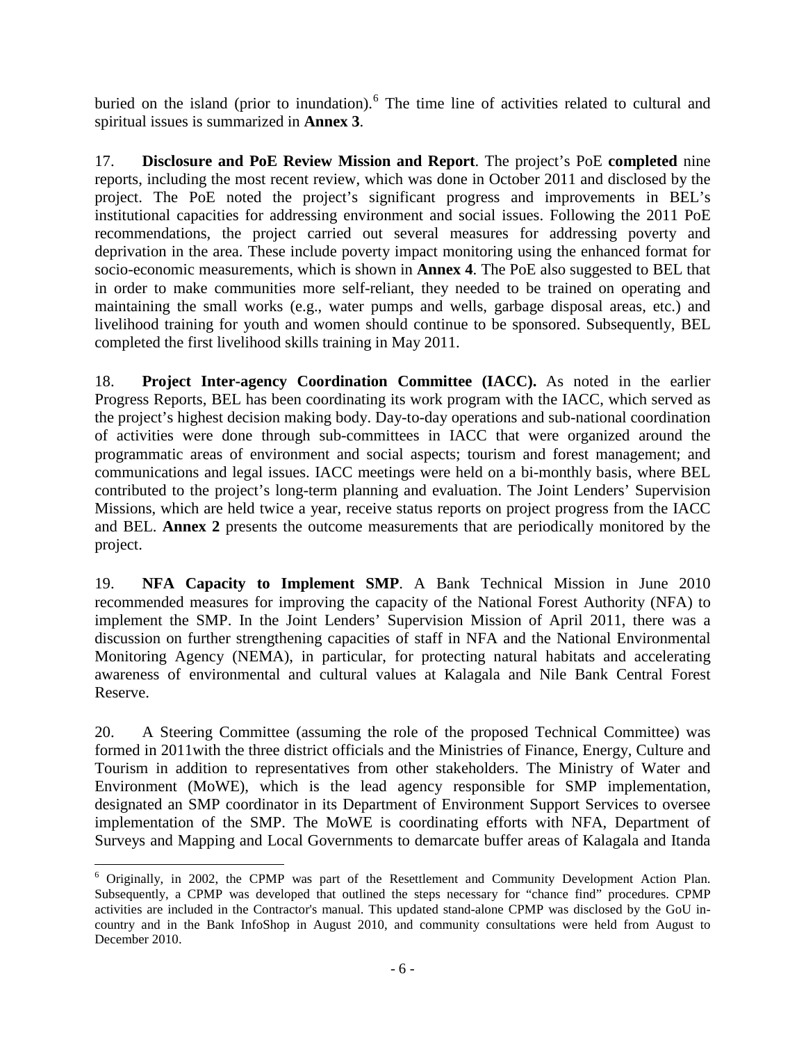buried on the island (prior to inundation).<sup>[6](#page-11-0)</sup> The time line of activities related to cultural and spiritual issues is summarized in **Annex 3**.

17. **Disclosure and PoE Review Mission and Report**. The project's PoE **completed** nine reports, including the most recent review, which was done in October 2011 and disclosed by the project. The PoE noted the project's significant progress and improvements in BEL's institutional capacities for addressing environment and social issues. Following the 2011 PoE recommendations, the project carried out several measures for addressing poverty and deprivation in the area. These include poverty impact monitoring using the enhanced format for socio-economic measurements, which is shown in **Annex 4**. The PoE also suggested to BEL that in order to make communities more self-reliant, they needed to be trained on operating and maintaining the small works (e.g., water pumps and wells, garbage disposal areas, etc.) and livelihood training for youth and women should continue to be sponsored. Subsequently, BEL completed the first livelihood skills training in May 2011.

18. **Project Inter-agency Coordination Committee (IACC).** As noted in the earlier Progress Reports, BEL has been coordinating its work program with the IACC, which served as the project's highest decision making body. Day-to-day operations and sub-national coordination of activities were done through sub-committees in IACC that were organized around the programmatic areas of environment and social aspects; tourism and forest management; and communications and legal issues. IACC meetings were held on a bi-monthly basis, where BEL contributed to the project's long-term planning and evaluation. The Joint Lenders' Supervision Missions, which are held twice a year, receive status reports on project progress from the IACC and BEL. **Annex 2** presents the outcome measurements that are periodically monitored by the project.

19. **NFA Capacity to Implement SMP**. A Bank Technical Mission in June 2010 recommended measures for improving the capacity of the National Forest Authority (NFA) to implement the SMP. In the Joint Lenders' Supervision Mission of April 2011, there was a discussion on further strengthening capacities of staff in NFA and the National Environmental Monitoring Agency (NEMA), in particular, for protecting natural habitats and accelerating awareness of environmental and cultural values at Kalagala and Nile Bank Central Forest Reserve.

20. A Steering Committee (assuming the role of the proposed Technical Committee) was formed in 2011with the three district officials and the Ministries of Finance, Energy, Culture and Tourism in addition to representatives from other stakeholders. The Ministry of Water and Environment (MoWE), which is the lead agency responsible for SMP implementation, designated an SMP coordinator in its Department of Environment Support Services to oversee implementation of the SMP. The MoWE is coordinating efforts with NFA, Department of Surveys and Mapping and Local Governments to demarcate buffer areas of Kalagala and Itanda

<span id="page-11-0"></span><sup>6</sup> Originally, in 2002, the CPMP was part of the Resettlement and Community Development Action Plan. Subsequently, a CPMP was developed that outlined the steps necessary for "chance find" procedures. CPMP activities are included in the Contractor's manual. This updated stand-alone CPMP was disclosed by the GoU incountry and in the Bank InfoShop in August 2010, and community consultations were held from August to December 2010.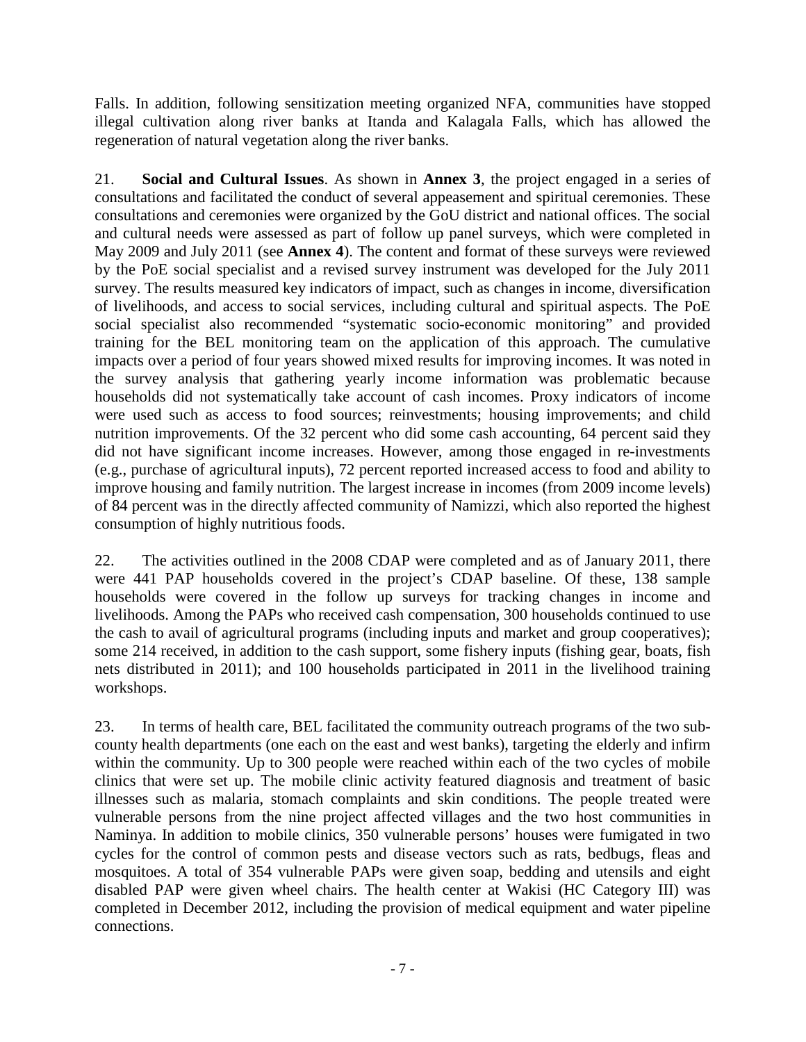Falls. In addition, following sensitization meeting organized NFA, communities have stopped illegal cultivation along river banks at Itanda and Kalagala Falls, which has allowed the regeneration of natural vegetation along the river banks.

21. **Social and Cultural Issues**. As shown in **Annex 3**, the project engaged in a series of consultations and facilitated the conduct of several appeasement and spiritual ceremonies. These consultations and ceremonies were organized by the GoU district and national offices. The social and cultural needs were assessed as part of follow up panel surveys, which were completed in May 2009 and July 2011 (see **Annex 4**). The content and format of these surveys were reviewed by the PoE social specialist and a revised survey instrument was developed for the July 2011 survey. The results measured key indicators of impact, such as changes in income, diversification of livelihoods, and access to social services, including cultural and spiritual aspects. The PoE social specialist also recommended "systematic socio-economic monitoring" and provided training for the BEL monitoring team on the application of this approach. The cumulative impacts over a period of four years showed mixed results for improving incomes. It was noted in the survey analysis that gathering yearly income information was problematic because households did not systematically take account of cash incomes. Proxy indicators of income were used such as access to food sources; reinvestments; housing improvements; and child nutrition improvements. Of the 32 percent who did some cash accounting, 64 percent said they did not have significant income increases. However, among those engaged in re-investments (e.g., purchase of agricultural inputs), 72 percent reported increased access to food and ability to improve housing and family nutrition. The largest increase in incomes (from 2009 income levels) of 84 percent was in the directly affected community of Namizzi, which also reported the highest consumption of highly nutritious foods.

22. The activities outlined in the 2008 CDAP were completed and as of January 2011, there were 441 PAP households covered in the project's CDAP baseline. Of these, 138 sample households were covered in the follow up surveys for tracking changes in income and livelihoods. Among the PAPs who received cash compensation, 300 households continued to use the cash to avail of agricultural programs (including inputs and market and group cooperatives); some 214 received, in addition to the cash support, some fishery inputs (fishing gear, boats, fish nets distributed in 2011); and 100 households participated in 2011 in the livelihood training workshops.

23. In terms of health care, BEL facilitated the community outreach programs of the two subcounty health departments (one each on the east and west banks), targeting the elderly and infirm within the community. Up to 300 people were reached within each of the two cycles of mobile clinics that were set up. The mobile clinic activity featured diagnosis and treatment of basic illnesses such as malaria, stomach complaints and skin conditions. The people treated were vulnerable persons from the nine project affected villages and the two host communities in Naminya. In addition to mobile clinics, 350 vulnerable persons' houses were fumigated in two cycles for the control of common pests and disease vectors such as rats, bedbugs, fleas and mosquitoes. A total of 354 vulnerable PAPs were given soap, bedding and utensils and eight disabled PAP were given wheel chairs. The health center at Wakisi (HC Category III) was completed in December 2012, including the provision of medical equipment and water pipeline connections.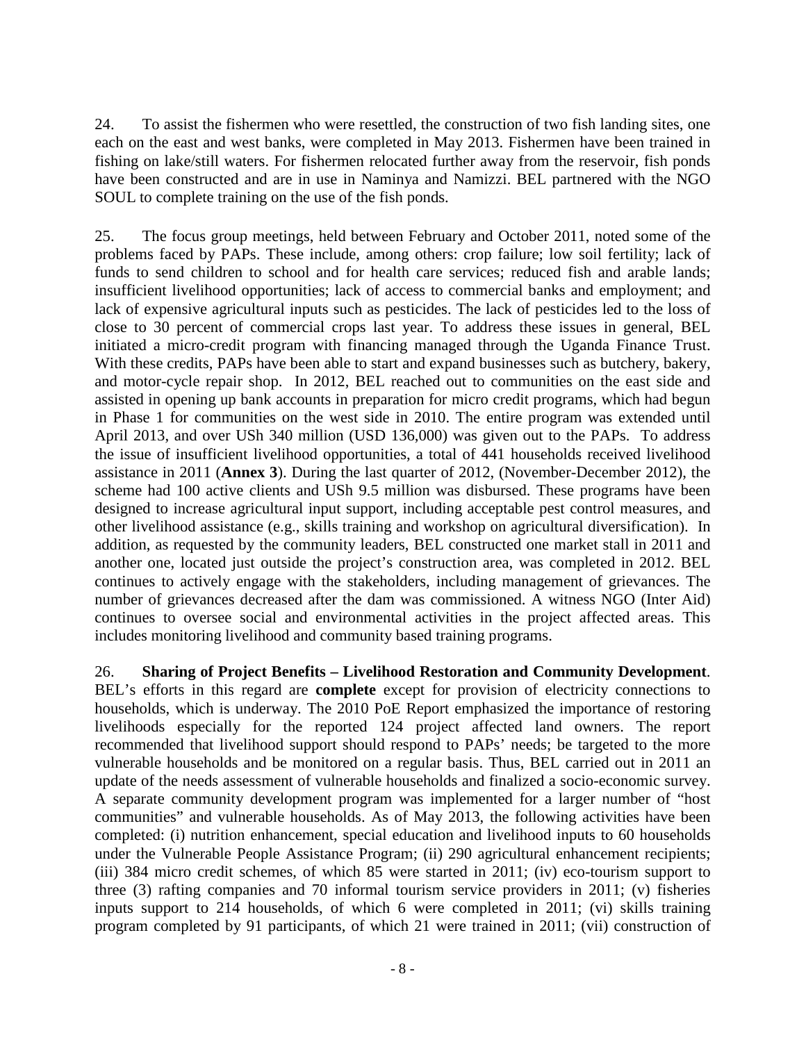24. To assist the fishermen who were resettled, the construction of two fish landing sites, one each on the east and west banks, were completed in May 2013. Fishermen have been trained in fishing on lake/still waters. For fishermen relocated further away from the reservoir, fish ponds have been constructed and are in use in Naminya and Namizzi. BEL partnered with the NGO SOUL to complete training on the use of the fish ponds.

25. The focus group meetings, held between February and October 2011, noted some of the problems faced by PAPs. These include, among others: crop failure; low soil fertility; lack of funds to send children to school and for health care services; reduced fish and arable lands; insufficient livelihood opportunities; lack of access to commercial banks and employment; and lack of expensive agricultural inputs such as pesticides. The lack of pesticides led to the loss of close to 30 percent of commercial crops last year. To address these issues in general, BEL initiated a micro-credit program with financing managed through the Uganda Finance Trust. With these credits, PAPs have been able to start and expand businesses such as butchery, bakery, and motor-cycle repair shop. In 2012, BEL reached out to communities on the east side and assisted in opening up bank accounts in preparation for micro credit programs, which had begun in Phase 1 for communities on the west side in 2010. The entire program was extended until April 2013, and over USh 340 million (USD 136,000) was given out to the PAPs. To address the issue of insufficient livelihood opportunities, a total of 441 households received livelihood assistance in 2011 (**Annex 3**). During the last quarter of 2012, (November-December 2012), the scheme had 100 active clients and USh 9.5 million was disbursed. These programs have been designed to increase agricultural input support, including acceptable pest control measures, and other livelihood assistance (e.g., skills training and workshop on agricultural diversification). In addition, as requested by the community leaders, BEL constructed one market stall in 2011 and another one, located just outside the project's construction area, was completed in 2012. BEL continues to actively engage with the stakeholders, including management of grievances. The number of grievances decreased after the dam was commissioned. A witness NGO (Inter Aid) continues to oversee social and environmental activities in the project affected areas. This includes monitoring livelihood and community based training programs.

<span id="page-13-0"></span>26. **Sharing of Project Benefits – Livelihood Restoration and Community Development**. BEL's efforts in this regard are **complete** except for provision of electricity connections to households, which is underway. The 2010 PoE Report emphasized the importance of restoring livelihoods especially for the reported 124 project affected land owners. The report recommended that livelihood support should respond to PAPs' needs; be targeted to the more vulnerable households and be monitored on a regular basis. Thus, BEL carried out in 2011 an update of the needs assessment of vulnerable households and finalized a socio-economic survey. A separate community development program was implemented for a larger number of "host communities" and vulnerable households. As of May 2013, the following activities have been completed: (i) nutrition enhancement, special education and livelihood inputs to 60 households under the Vulnerable People Assistance Program; (ii) 290 agricultural enhancement recipients; (iii) 384 micro credit schemes, of which 85 were started in 2011; (iv) eco-tourism support to three (3) rafting companies and 70 informal tourism service providers in 2011; (v) fisheries inputs support to 214 households, of which 6 were completed in 2011; (vi) skills training program completed by 91 participants, of which 21 were trained in 2011; (vii) construction of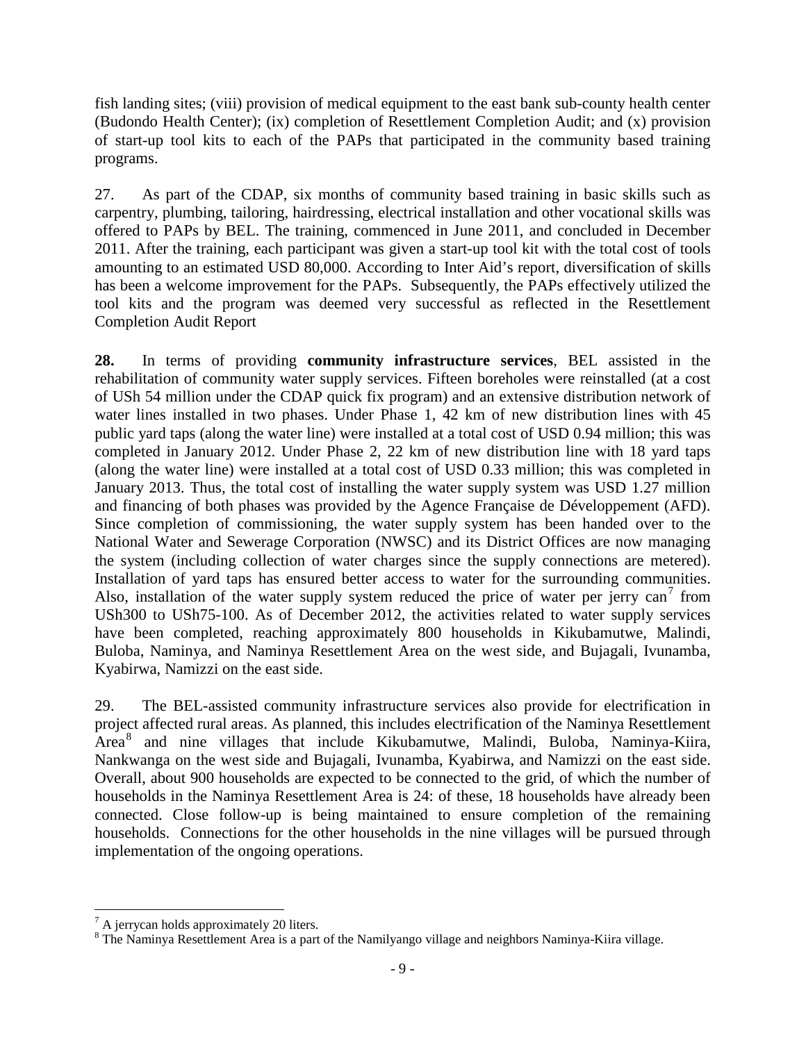fish landing sites; (viii) provision of medical equipment to the east bank sub-county health center (Budondo Health Center); (ix) completion of Resettlement Completion Audit; and (x) provision of start-up tool kits to each of the PAPs that participated in the community based training programs.

27. As part of the CDAP, six months of community based training in basic skills such as carpentry, plumbing, tailoring, hairdressing, electrical installation and other vocational skills was offered to PAPs by BEL. The training, commenced in June 2011, and concluded in December 2011. After the training, each participant was given a start-up tool kit with the total cost of tools amounting to an estimated USD 80,000. According to Inter Aid's report, diversification of skills has been a welcome improvement for the PAPs. Subsequently, the PAPs effectively utilized the tool kits and the program was deemed very successful as reflected in the Resettlement Completion Audit Report

<span id="page-14-1"></span>**28.** In terms of providing **community infrastructure services**, BEL assisted in the rehabilitation of community water supply services. Fifteen boreholes were reinstalled (at a cost of USh 54 million under the CDAP quick fix program) and an extensive distribution network of water lines installed in two phases. Under Phase 1, 42 km of new distribution lines with 45 public yard taps (along the water line) were installed at a total cost of USD 0.94 million; this was completed in January 2012. Under Phase 2, 22 km of new distribution line with 18 yard taps (along the water line) were installed at a total cost of USD 0.33 million; this was completed in January 2013. Thus, the total cost of installing the water supply system was USD 1.27 million and financing of both phases was provided by the Agence Française de Développement (AFD). Since completion of commissioning, the water supply system has been handed over to the National Water and Sewerage Corporation (NWSC) and its District Offices are now managing the system (including collection of water charges since the supply connections are metered). Installation of yard taps has ensured better access to water for the surrounding communities. Also, installation of the water supply system reduced the price of water per jerry can<sup>[7](#page-14-2)</sup> from USh300 to USh75-100. As of December 2012, the activities related to water supply services have been completed, reaching approximately 800 households in Kikubamutwe, Malindi, Buloba, Naminya, and Naminya Resettlement Area on the west side, and Bujagali, Ivunamba, Kyabirwa, Namizzi on the east side.

<span id="page-14-0"></span>29. The BEL-assisted community infrastructure services also provide for electrification in project affected rural areas. As planned, this includes electrification of the Naminya Resettlement Area<sup>[8](#page-14-3)</sup> and nine villages that include Kikubamutwe, Malindi, Buloba, Naminya-Kiira, Nankwanga on the west side and Bujagali, Ivunamba, Kyabirwa, and Namizzi on the east side. Overall, about 900 households are expected to be connected to the grid, of which the number of households in the Naminya Resettlement Area is 24: of these, 18 households have already been connected. Close follow-up is being maintained to ensure completion of the remaining households. Connections for the other households in the nine villages will be pursued through implementation of the ongoing operations.

<span id="page-14-3"></span>

<span id="page-14-2"></span><sup>&</sup>lt;sup>7</sup> A jerrycan holds approximately 20 liters.<br><sup>8</sup> The Naminya Resettlement Area is a part of the Namilyango village and neighbors Naminya-Kiira village.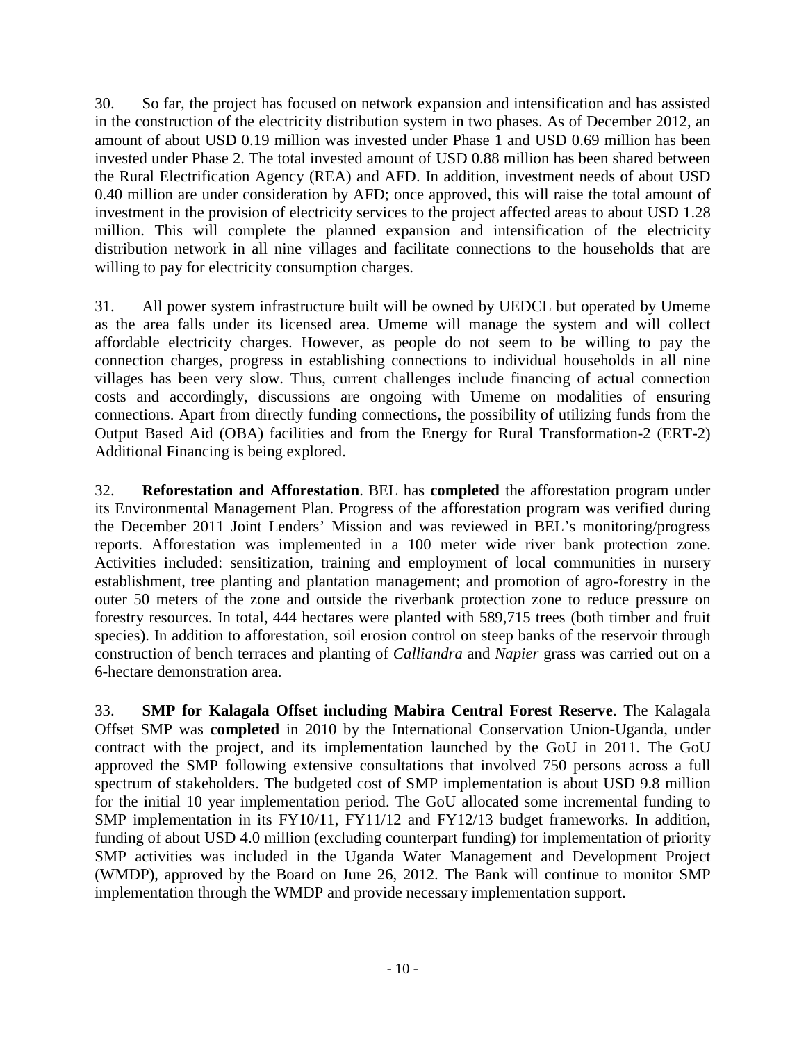30. So far, the project has focused on network expansion and intensification and has assisted in the construction of the electricity distribution system in two phases. As of December 2012, an amount of about USD 0.19 million was invested under Phase 1 and USD 0.69 million has been invested under Phase 2. The total invested amount of USD 0.88 million has been shared between the Rural Electrification Agency (REA) and AFD. In addition, investment needs of about USD 0.40 million are under consideration by AFD; once approved, this will raise the total amount of investment in the provision of electricity services to the project affected areas to about USD 1.28 million. This will complete the planned expansion and intensification of the electricity distribution network in all nine villages and facilitate connections to the households that are willing to pay for electricity consumption charges.

<span id="page-15-0"></span>31. All power system infrastructure built will be owned by UEDCL but operated by Umeme as the area falls under its licensed area. Umeme will manage the system and will collect affordable electricity charges. However, as people do not seem to be willing to pay the connection charges, progress in establishing connections to individual households in all nine villages has been very slow. Thus, current challenges include financing of actual connection costs and accordingly, discussions are ongoing with Umeme on modalities of ensuring connections. Apart from directly funding connections, the possibility of utilizing funds from the Output Based Aid (OBA) facilities and from the Energy for Rural Transformation-2 (ERT-2) Additional Financing is being explored.

32. **Reforestation and Afforestation**. BEL has **completed** the afforestation program under its Environmental Management Plan. Progress of the afforestation program was verified during the December 2011 Joint Lenders' Mission and was reviewed in BEL's monitoring/progress reports. Afforestation was implemented in a 100 meter wide river bank protection zone. Activities included: sensitization, training and employment of local communities in nursery establishment, tree planting and plantation management; and promotion of agro-forestry in the outer 50 meters of the zone and outside the riverbank protection zone to reduce pressure on forestry resources. In total, 444 hectares were planted with 589,715 trees (both timber and fruit species). In addition to afforestation, soil erosion control on steep banks of the reservoir through construction of bench terraces and planting of *Calliandra* and *Napier* grass was carried out on a 6-hectare demonstration area.

33. **SMP for Kalagala Offset including Mabira Central Forest Reserve**. The Kalagala Offset SMP was **completed** in 2010 by the International Conservation Union-Uganda, under contract with the project, and its implementation launched by the GoU in 2011. The GoU approved the SMP following extensive consultations that involved 750 persons across a full spectrum of stakeholders. The budgeted cost of SMP implementation is about USD 9.8 million for the initial 10 year implementation period. The GoU allocated some incremental funding to SMP implementation in its FY10/11, FY11/12 and FY12/13 budget frameworks. In addition, funding of about USD 4.0 million (excluding counterpart funding) for implementation of priority SMP activities was included in the Uganda Water Management and Development Project (WMDP), approved by the Board on June 26, 2012. The Bank will continue to monitor SMP implementation through the WMDP and provide necessary implementation support.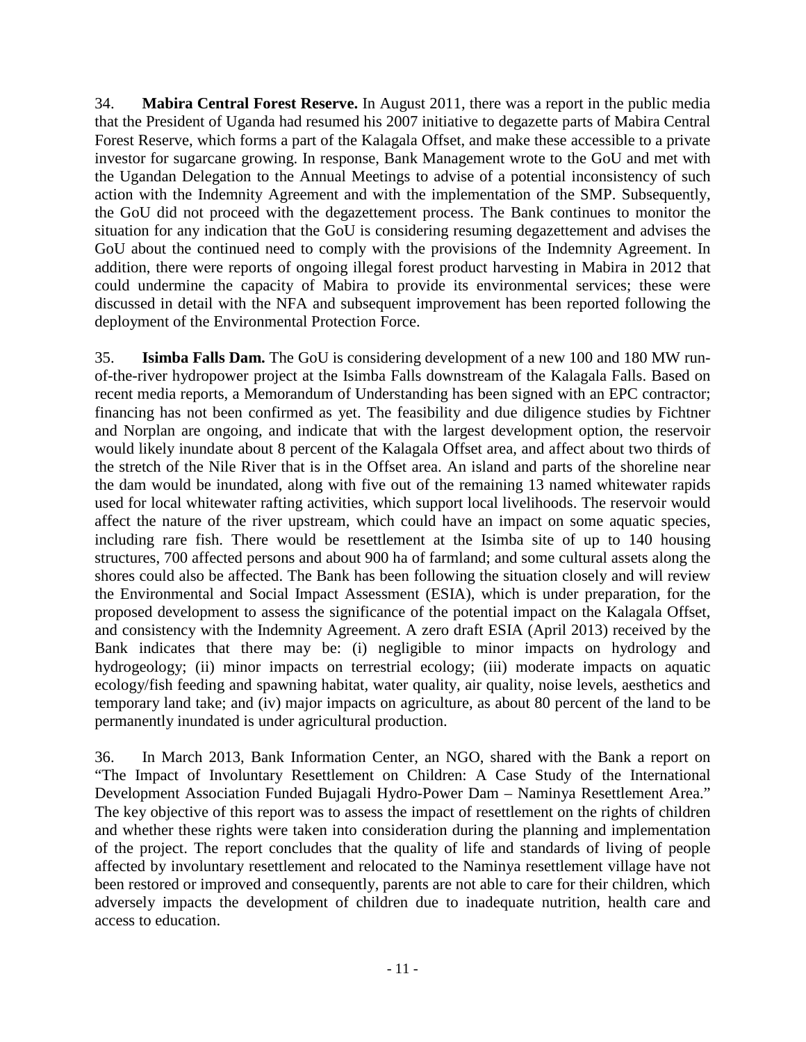34. **Mabira Central Forest Reserve.** In August 2011, there was a report in the public media that the President of Uganda had resumed his 2007 initiative to degazette parts of Mabira Central Forest Reserve, which forms a part of the Kalagala Offset, and make these accessible to a private investor for sugarcane growing. In response, Bank Management wrote to the GoU and met with the Ugandan Delegation to the Annual Meetings to advise of a potential inconsistency of such action with the Indemnity Agreement and with the implementation of the SMP. Subsequently, the GoU did not proceed with the degazettement process. The Bank continues to monitor the situation for any indication that the GoU is considering resuming degazettement and advises the GoU about the continued need to comply with the provisions of the Indemnity Agreement. In addition, there were reports of ongoing illegal forest product harvesting in Mabira in 2012 that could undermine the capacity of Mabira to provide its environmental services; these were discussed in detail with the NFA and subsequent improvement has been reported following the deployment of the Environmental Protection Force.

35. **Isimba Falls Dam.** The GoU is considering development of a new 100 and 180 MW runof-the-river hydropower project at the Isimba Falls downstream of the Kalagala Falls. Based on recent media reports, a Memorandum of Understanding has been signed with an EPC contractor; financing has not been confirmed as yet. The feasibility and due diligence studies by Fichtner and Norplan are ongoing, and indicate that with the largest development option, the reservoir would likely inundate about 8 percent of the Kalagala Offset area, and affect about two thirds of the stretch of the Nile River that is in the Offset area. An island and parts of the shoreline near the dam would be inundated, along with five out of the remaining 13 named whitewater rapids used for local whitewater rafting activities, which support local livelihoods. The reservoir would affect the nature of the river upstream, which could have an impact on some aquatic species, including rare fish. There would be resettlement at the Isimba site of up to 140 housing structures, 700 affected persons and about 900 ha of farmland; and some cultural assets along the shores could also be affected. The Bank has been following the situation closely and will review the Environmental and Social Impact Assessment (ESIA), which is under preparation, for the proposed development to assess the significance of the potential impact on the Kalagala Offset, and consistency with the Indemnity Agreement. A zero draft ESIA (April 2013) received by the Bank indicates that there may be: (i) negligible to minor impacts on hydrology and hydrogeology; (ii) minor impacts on terrestrial ecology; (iii) moderate impacts on aquatic ecology/fish feeding and spawning habitat, water quality, air quality, noise levels, aesthetics and temporary land take; and (iv) major impacts on agriculture, as about 80 percent of the land to be permanently inundated is under agricultural production.

36. In March 2013, Bank Information Center, an NGO, shared with the Bank a report on "The Impact of Involuntary Resettlement on Children: A Case Study of the International Development Association Funded Bujagali Hydro-Power Dam – Naminya Resettlement Area." The key objective of this report was to assess the impact of resettlement on the rights of children and whether these rights were taken into consideration during the planning and implementation of the project. The report concludes that the quality of life and standards of living of people affected by involuntary resettlement and relocated to the Naminya resettlement village have not been restored or improved and consequently, parents are not able to care for their children, which adversely impacts the development of children due to inadequate nutrition, health care and access to education.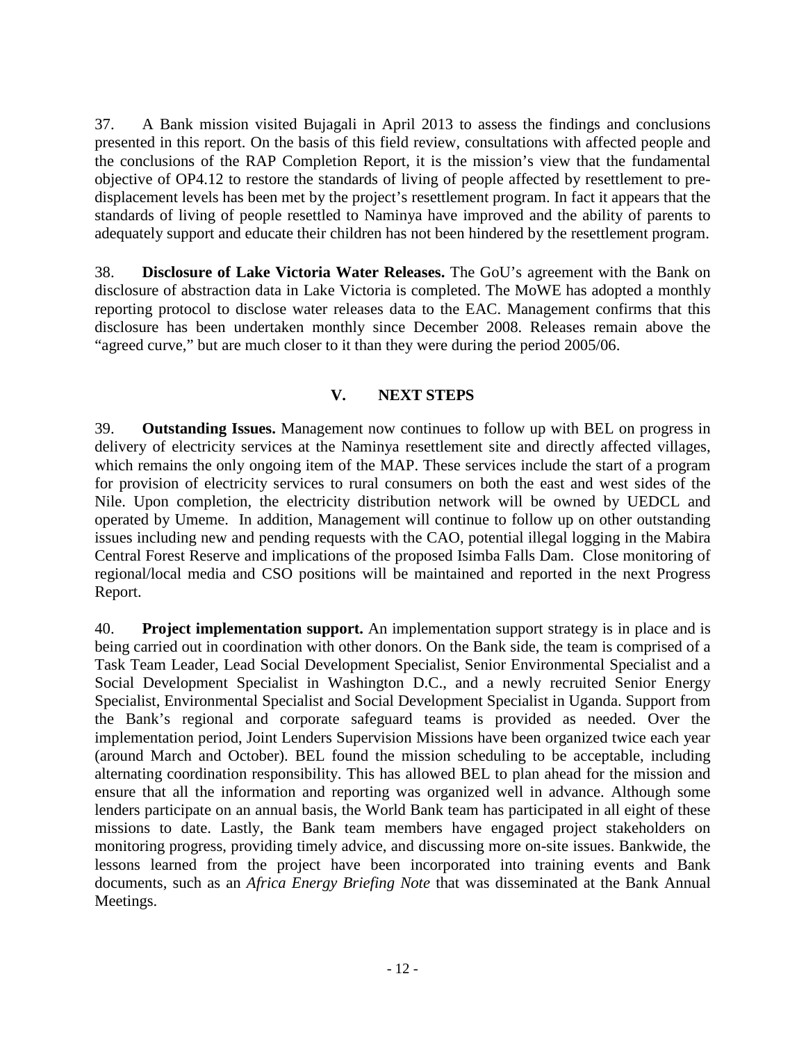37. A Bank mission visited Bujagali in April 2013 to assess the findings and conclusions presented in this report. On the basis of this field review, consultations with affected people and the conclusions of the RAP Completion Report, it is the mission's view that the fundamental objective of OP4.12 to restore the standards of living of people affected by resettlement to predisplacement levels has been met by the project's resettlement program. In fact it appears that the standards of living of people resettled to Naminya have improved and the ability of parents to adequately support and educate their children has not been hindered by the resettlement program.

38. **Disclosure of Lake Victoria Water Releases.** The GoU's agreement with the Bank on disclosure of abstraction data in Lake Victoria is completed. The MoWE has adopted a monthly reporting protocol to disclose water releases data to the EAC. Management confirms that this disclosure has been undertaken monthly since December 2008. Releases remain above the "agreed curve," but are much closer to it than they were during the period 2005/06.

### **V. NEXT STEPS**

<span id="page-17-0"></span>39. **Outstanding Issues.** Management now continues to follow up with BEL on progress in delivery of electricity services at the Naminya resettlement site and directly affected villages, which remains the only ongoing item of the MAP. These services include the start of a program for provision of electricity services to rural consumers on both the east and west sides of the Nile. Upon completion, the electricity distribution network will be owned by UEDCL and operated by Umeme. In addition, Management will continue to follow up on other outstanding issues including new and pending requests with the CAO, potential illegal logging in the Mabira Central Forest Reserve and implications of the proposed Isimba Falls Dam. Close monitoring of regional/local media and CSO positions will be maintained and reported in the next Progress Report.

40. **Project implementation support.** An implementation support strategy is in place and is being carried out in coordination with other donors. On the Bank side, the team is comprised of a Task Team Leader, Lead Social Development Specialist, Senior Environmental Specialist and a Social Development Specialist in Washington D.C., and a newly recruited Senior Energy Specialist, Environmental Specialist and Social Development Specialist in Uganda. Support from the Bank's regional and corporate safeguard teams is provided as needed. Over the implementation period, Joint Lenders Supervision Missions have been organized twice each year (around March and October). BEL found the mission scheduling to be acceptable, including alternating coordination responsibility. This has allowed BEL to plan ahead for the mission and ensure that all the information and reporting was organized well in advance. Although some lenders participate on an annual basis, the World Bank team has participated in all eight of these missions to date. Lastly, the Bank team members have engaged project stakeholders on monitoring progress, providing timely advice, and discussing more on-site issues. Bankwide, the lessons learned from the project have been incorporated into training events and Bank documents, such as an *Africa Energy Briefing Note* that was disseminated at the Bank Annual Meetings.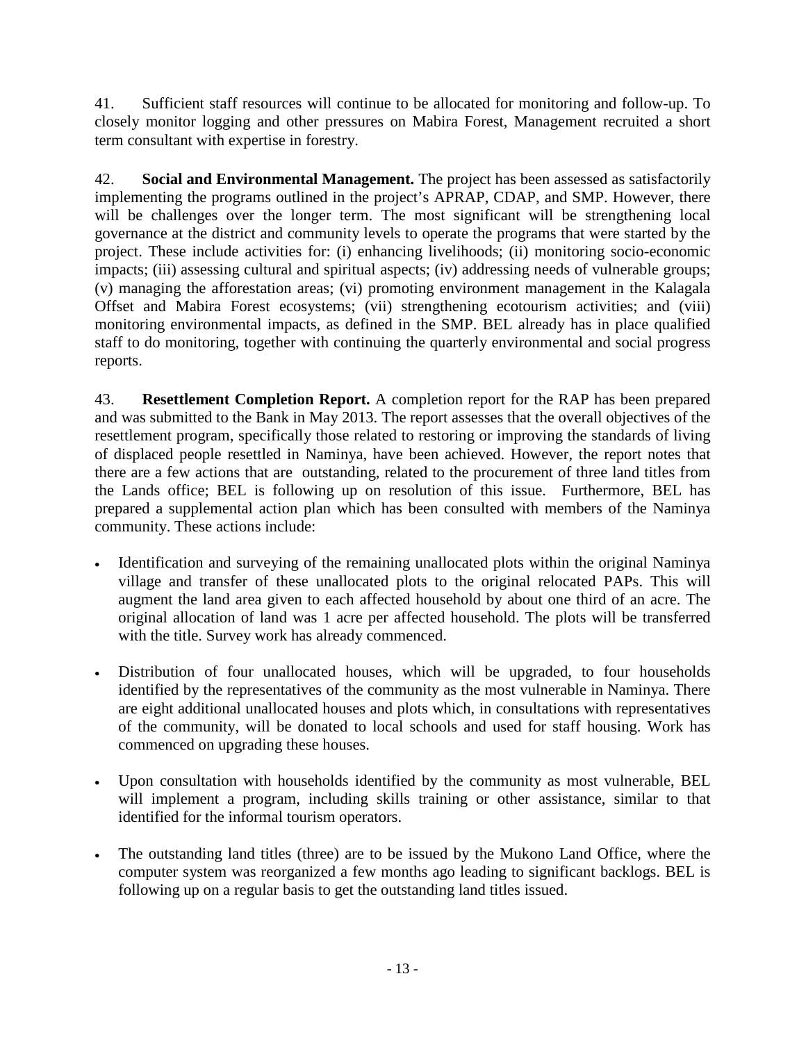41. Sufficient staff resources will continue to be allocated for monitoring and follow-up. To closely monitor logging and other pressures on Mabira Forest, Management recruited a short term consultant with expertise in forestry.

42. **Social and Environmental Management.** The project has been assessed as satisfactorily implementing the programs outlined in the project's APRAP, CDAP, and SMP. However, there will be challenges over the longer term. The most significant will be strengthening local governance at the district and community levels to operate the programs that were started by the project. These include activities for: (i) enhancing livelihoods; (ii) monitoring socio-economic impacts; (iii) assessing cultural and spiritual aspects; (iv) addressing needs of vulnerable groups; (v) managing the afforestation areas; (vi) promoting environment management in the Kalagala Offset and Mabira Forest ecosystems; (vii) strengthening ecotourism activities; and (viii) monitoring environmental impacts, as defined in the SMP. BEL already has in place qualified staff to do monitoring, together with continuing the quarterly environmental and social progress reports.

<span id="page-18-0"></span>43. **Resettlement Completion Report.** A completion report for the RAP has been prepared and was submitted to the Bank in May 2013. The report assesses that the overall objectives of the resettlement program, specifically those related to restoring or improving the standards of living of displaced people resettled in Naminya, have been achieved. However, the report notes that there are a few actions that are outstanding, related to the procurement of three land titles from the Lands office; BEL is following up on resolution of this issue. Furthermore, BEL has prepared a supplemental action plan which has been consulted with members of the Naminya community. These actions include:

- Identification and surveying of the remaining unallocated plots within the original Naminya village and transfer of these unallocated plots to the original relocated PAPs. This will augment the land area given to each affected household by about one third of an acre. The original allocation of land was 1 acre per affected household. The plots will be transferred with the title. Survey work has already commenced.
- Distribution of four unallocated houses, which will be upgraded, to four households identified by the representatives of the community as the most vulnerable in Naminya. There are eight additional unallocated houses and plots which, in consultations with representatives of the community, will be donated to local schools and used for staff housing. Work has commenced on upgrading these houses.
- Upon consultation with households identified by the community as most vulnerable, BEL will implement a program, including skills training or other assistance, similar to that identified for the informal tourism operators.
- The outstanding land titles (three) are to be issued by the Mukono Land Office, where the computer system was reorganized a few months ago leading to significant backlogs. BEL is following up on a regular basis to get the outstanding land titles issued.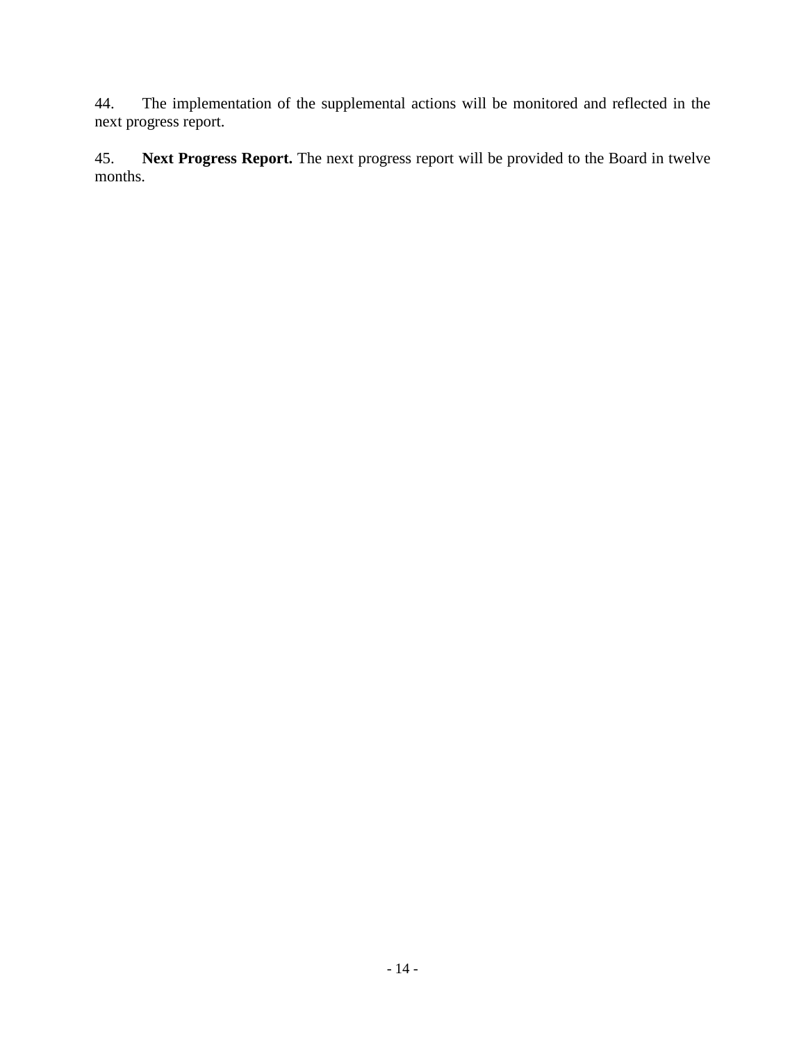44. The implementation of the supplemental actions will be monitored and reflected in the next progress report.

45. **Next Progress Report.** The next progress report will be provided to the Board in twelve months.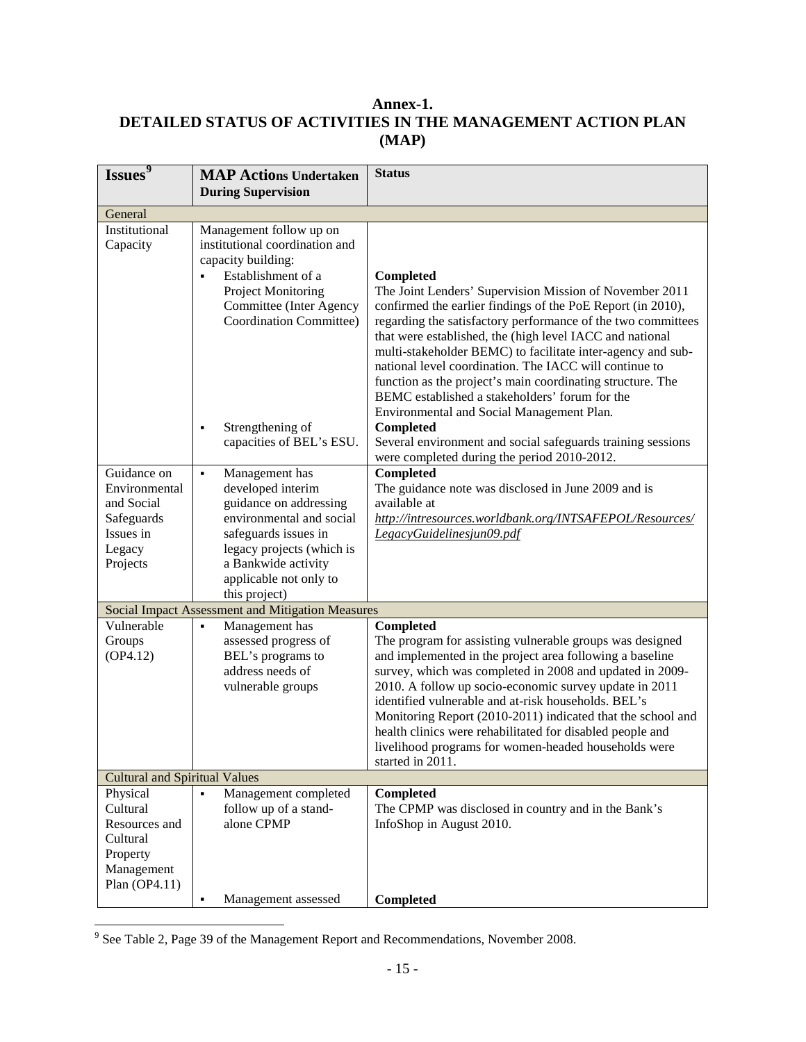### <span id="page-20-0"></span>**Annex-1. DETAILED STATUS OF ACTIVITIES IN THE MANAGEMENT ACTION PLAN (MAP)**

| Issues <sup>9</sup>                                                                            | <b>MAP Actions Undertaken</b><br><b>During Supervision</b>                                                                                                                                                                                                                                 | <b>Status</b>                                                                                                                                                                                                                                                                                                                                                                                                                                                                                                                                                                                                                     |
|------------------------------------------------------------------------------------------------|--------------------------------------------------------------------------------------------------------------------------------------------------------------------------------------------------------------------------------------------------------------------------------------------|-----------------------------------------------------------------------------------------------------------------------------------------------------------------------------------------------------------------------------------------------------------------------------------------------------------------------------------------------------------------------------------------------------------------------------------------------------------------------------------------------------------------------------------------------------------------------------------------------------------------------------------|
| General                                                                                        |                                                                                                                                                                                                                                                                                            |                                                                                                                                                                                                                                                                                                                                                                                                                                                                                                                                                                                                                                   |
| Institutional<br>Capacity                                                                      | Management follow up on<br>institutional coordination and<br>capacity building:<br>Establishment of a<br>$\blacksquare$<br><b>Project Monitoring</b><br><b>Committee (Inter Agency</b><br><b>Coordination Committee)</b><br>Strengthening of<br>$\blacksquare$<br>capacities of BEL's ESU. | Completed<br>The Joint Lenders' Supervision Mission of November 2011<br>confirmed the earlier findings of the PoE Report (in 2010),<br>regarding the satisfactory performance of the two committees<br>that were established, the (high level IACC and national<br>multi-stakeholder BEMC) to facilitate inter-agency and sub-<br>national level coordination. The IACC will continue to<br>function as the project's main coordinating structure. The<br>BEMC established a stakeholders' forum for the<br>Environmental and Social Management Plan.<br>Completed<br>Several environment and social safeguards training sessions |
|                                                                                                |                                                                                                                                                                                                                                                                                            | were completed during the period 2010-2012.                                                                                                                                                                                                                                                                                                                                                                                                                                                                                                                                                                                       |
| Guidance on<br>Environmental<br>and Social<br>Safeguards<br>Issues in<br>Legacy<br>Projects    | Management has<br>٠<br>developed interim<br>guidance on addressing<br>environmental and social<br>safeguards issues in<br>legacy projects (which is<br>a Bankwide activity<br>applicable not only to<br>this project)                                                                      | Completed<br>The guidance note was disclosed in June 2009 and is<br>available at<br>http://intresources.worldbank.org/INTSAFEPOL/Resources/<br>LegacyGuidelinesjun09.pdf                                                                                                                                                                                                                                                                                                                                                                                                                                                          |
|                                                                                                | Social Impact Assessment and Mitigation Measures                                                                                                                                                                                                                                           |                                                                                                                                                                                                                                                                                                                                                                                                                                                                                                                                                                                                                                   |
| Vulnerable<br>Groups<br>(OP4.12)                                                               | Management has<br>$\blacksquare$<br>assessed progress of<br>BEL's programs to<br>address needs of<br>vulnerable groups                                                                                                                                                                     | Completed<br>The program for assisting vulnerable groups was designed<br>and implemented in the project area following a baseline<br>survey, which was completed in 2008 and updated in 2009-<br>2010. A follow up socio-economic survey update in 2011<br>identified vulnerable and at-risk households. BEL's<br>Monitoring Report (2010-2011) indicated that the school and<br>health clinics were rehabilitated for disabled people and<br>livelihood programs for women-headed households were<br>started in 2011.                                                                                                            |
| <b>Cultural and Spiritual Values</b>                                                           |                                                                                                                                                                                                                                                                                            |                                                                                                                                                                                                                                                                                                                                                                                                                                                                                                                                                                                                                                   |
| Physical<br>Cultural<br>Resources and<br>Cultural<br>Property<br>Management<br>Plan $(OP4.11)$ | Management completed<br>follow up of a stand-<br>alone CPMP                                                                                                                                                                                                                                | Completed<br>The CPMP was disclosed in country and in the Bank's<br>InfoShop in August 2010.                                                                                                                                                                                                                                                                                                                                                                                                                                                                                                                                      |
|                                                                                                | Management assessed<br>٠                                                                                                                                                                                                                                                                   | <b>Completed</b>                                                                                                                                                                                                                                                                                                                                                                                                                                                                                                                                                                                                                  |

<span id="page-20-1"></span><sup>9</sup> See Table 2, Page 39 of the Management Report and Recommendations, November 2008.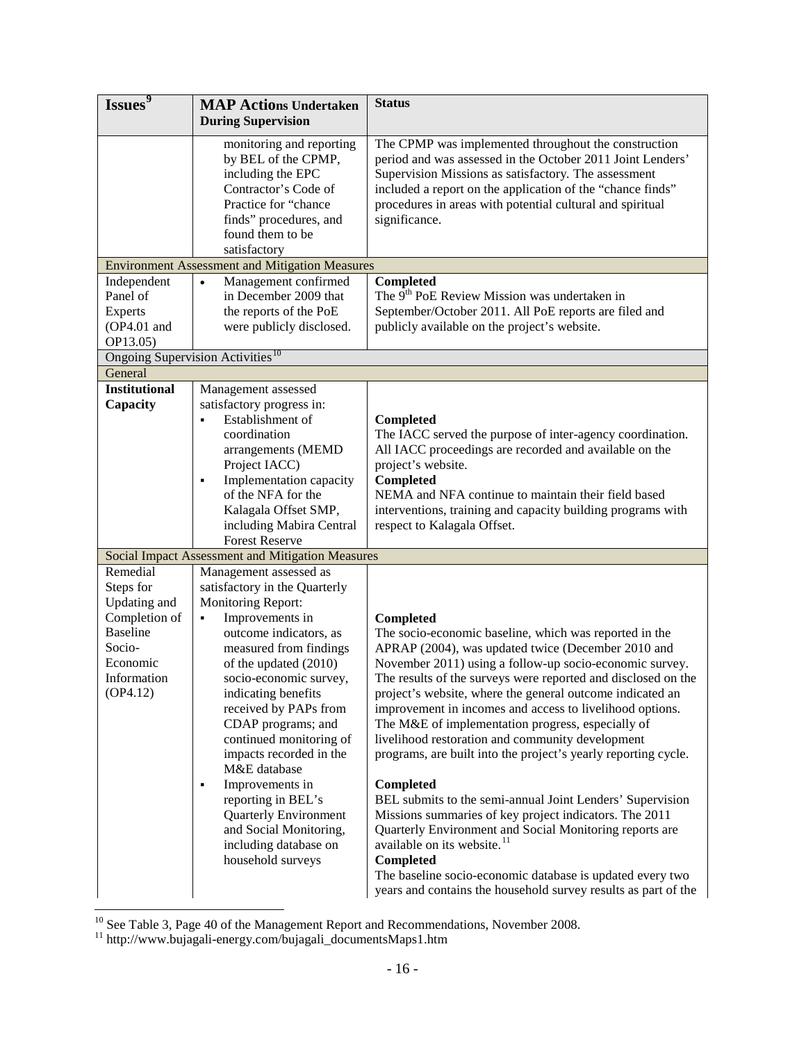| Issues <sup>9</sup>     | <b>MAP Actions Undertaken</b>                                                                                                                  | <b>Status</b>                                                                                                                                                                                                                                                                                                          |
|-------------------------|------------------------------------------------------------------------------------------------------------------------------------------------|------------------------------------------------------------------------------------------------------------------------------------------------------------------------------------------------------------------------------------------------------------------------------------------------------------------------|
|                         | <b>During Supervision</b>                                                                                                                      |                                                                                                                                                                                                                                                                                                                        |
|                         | monitoring and reporting<br>by BEL of the CPMP,<br>including the EPC<br>Contractor's Code of<br>Practice for "chance<br>finds" procedures, and | The CPMP was implemented throughout the construction<br>period and was assessed in the October 2011 Joint Lenders'<br>Supervision Missions as satisfactory. The assessment<br>included a report on the application of the "chance finds"<br>procedures in areas with potential cultural and spiritual<br>significance. |
|                         | found them to be                                                                                                                               |                                                                                                                                                                                                                                                                                                                        |
|                         | satisfactory                                                                                                                                   |                                                                                                                                                                                                                                                                                                                        |
|                         | <b>Environment Assessment and Mitigation Measures</b>                                                                                          |                                                                                                                                                                                                                                                                                                                        |
| Independent<br>Panel of | Management confirmed<br>$\bullet$<br>in December 2009 that<br>the reports of the PoE                                                           | Completed<br>The 9 <sup>th</sup> PoE Review Mission was undertaken in<br>September/October 2011. All PoE reports are filed and                                                                                                                                                                                         |
| Experts<br>(OP4.01 and  | were publicly disclosed.                                                                                                                       | publicly available on the project's website.                                                                                                                                                                                                                                                                           |
| OP13.05)                |                                                                                                                                                |                                                                                                                                                                                                                                                                                                                        |
|                         | Ongoing Supervision Activities <sup>10</sup>                                                                                                   |                                                                                                                                                                                                                                                                                                                        |
| General                 |                                                                                                                                                |                                                                                                                                                                                                                                                                                                                        |
| <b>Institutional</b>    | Management assessed                                                                                                                            |                                                                                                                                                                                                                                                                                                                        |
| Capacity                | satisfactory progress in:                                                                                                                      |                                                                                                                                                                                                                                                                                                                        |
|                         | Establishment of<br>$\blacksquare$                                                                                                             | Completed                                                                                                                                                                                                                                                                                                              |
|                         | coordination                                                                                                                                   | The IACC served the purpose of inter-agency coordination.                                                                                                                                                                                                                                                              |
|                         | arrangements (MEMD                                                                                                                             | All IACC proceedings are recorded and available on the                                                                                                                                                                                                                                                                 |
|                         | Project IACC)                                                                                                                                  | project's website.                                                                                                                                                                                                                                                                                                     |
|                         | Implementation capacity<br>٠                                                                                                                   | Completed                                                                                                                                                                                                                                                                                                              |
|                         | of the NFA for the                                                                                                                             | NEMA and NFA continue to maintain their field based                                                                                                                                                                                                                                                                    |
|                         | Kalagala Offset SMP,<br>including Mabira Central                                                                                               | interventions, training and capacity building programs with<br>respect to Kalagala Offset.                                                                                                                                                                                                                             |
|                         | <b>Forest Reserve</b>                                                                                                                          |                                                                                                                                                                                                                                                                                                                        |
|                         | Social Impact Assessment and Mitigation Measures                                                                                               |                                                                                                                                                                                                                                                                                                                        |
| Remedial                | Management assessed as                                                                                                                         |                                                                                                                                                                                                                                                                                                                        |
| Steps for               | satisfactory in the Quarterly                                                                                                                  |                                                                                                                                                                                                                                                                                                                        |
| Updating and            | Monitoring Report:                                                                                                                             |                                                                                                                                                                                                                                                                                                                        |
| Completion of           | Improvements in<br>٠.                                                                                                                          | <b>Completed</b>                                                                                                                                                                                                                                                                                                       |
| <b>Baseline</b>         | outcome indicators, as                                                                                                                         | The socio-economic baseline, which was reported in the                                                                                                                                                                                                                                                                 |
| Socio-                  | measured from findings                                                                                                                         | APRAP (2004), was updated twice (December 2010 and                                                                                                                                                                                                                                                                     |
| Economic                | of the updated (2010)                                                                                                                          | November 2011) using a follow-up socio-economic survey.                                                                                                                                                                                                                                                                |
| Information             | socio-economic survey,                                                                                                                         | The results of the surveys were reported and disclosed on the                                                                                                                                                                                                                                                          |
| (OP4.12)                | indicating benefits                                                                                                                            | project's website, where the general outcome indicated an                                                                                                                                                                                                                                                              |
|                         | received by PAPs from                                                                                                                          | improvement in incomes and access to livelihood options.                                                                                                                                                                                                                                                               |
|                         | CDAP programs; and<br>continued monitoring of                                                                                                  | The M&E of implementation progress, especially of<br>livelihood restoration and community development                                                                                                                                                                                                                  |
|                         | impacts recorded in the<br>M&E database                                                                                                        | programs, are built into the project's yearly reporting cycle.                                                                                                                                                                                                                                                         |
|                         | Improvements in<br>٠                                                                                                                           | <b>Completed</b>                                                                                                                                                                                                                                                                                                       |
|                         | reporting in BEL's                                                                                                                             | BEL submits to the semi-annual Joint Lenders' Supervision                                                                                                                                                                                                                                                              |
|                         | <b>Quarterly Environment</b>                                                                                                                   | Missions summaries of key project indicators. The 2011                                                                                                                                                                                                                                                                 |
|                         | and Social Monitoring,                                                                                                                         | Quarterly Environment and Social Monitoring reports are                                                                                                                                                                                                                                                                |
|                         | including database on                                                                                                                          | available on its website. <sup>11</sup>                                                                                                                                                                                                                                                                                |
|                         | household surveys                                                                                                                              | Completed                                                                                                                                                                                                                                                                                                              |
|                         |                                                                                                                                                | The baseline socio-economic database is updated every two<br>years and contains the household survey results as part of the                                                                                                                                                                                            |

<span id="page-21-1"></span><span id="page-21-0"></span><sup>&</sup>lt;sup>10</sup> See Table 3, Page 40 of the Management Report and Recommendations, November 2008.<br><sup>11</sup> http://www.bujagali-energy.com/bujagali\_documentsMaps1.htm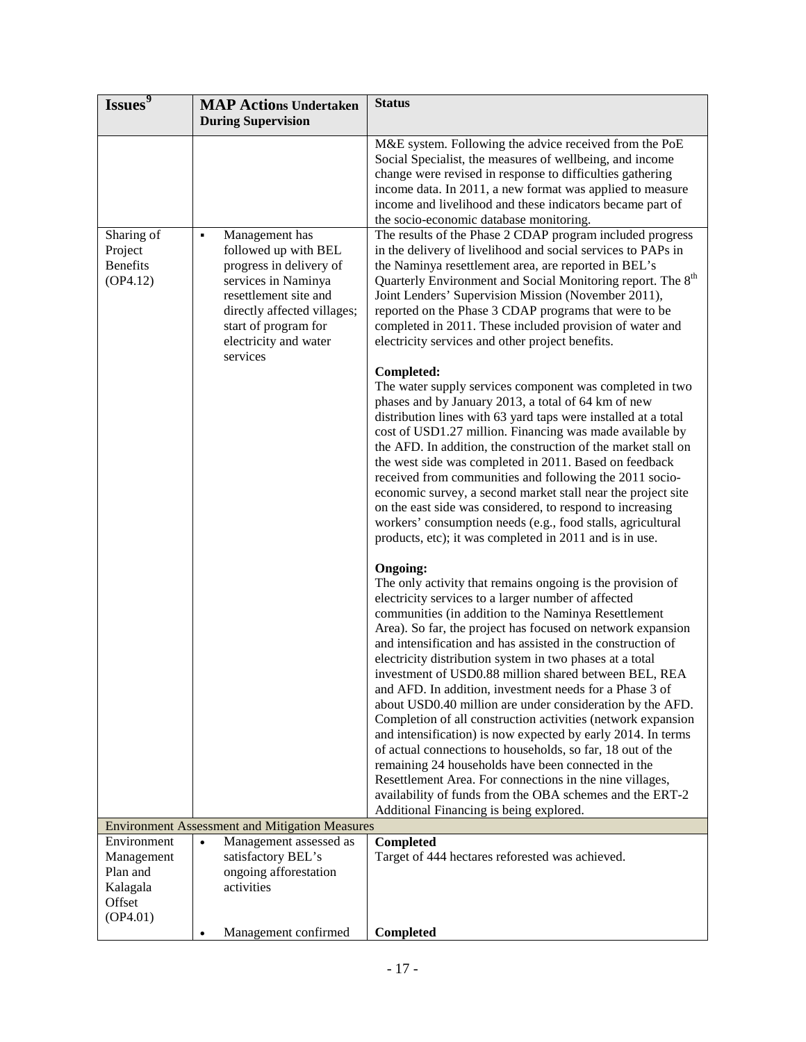| Issues <sup>9</sup>                                                     | <b>MAP Actions Undertaken</b>                                                                                                                                                                                      | <b>Status</b>                                                                                                                                                                                                                                                                                                                                                                                                                                                                                                                                                                                                                                                                                                                                                                                                                                                                                                                                                                                  |
|-------------------------------------------------------------------------|--------------------------------------------------------------------------------------------------------------------------------------------------------------------------------------------------------------------|------------------------------------------------------------------------------------------------------------------------------------------------------------------------------------------------------------------------------------------------------------------------------------------------------------------------------------------------------------------------------------------------------------------------------------------------------------------------------------------------------------------------------------------------------------------------------------------------------------------------------------------------------------------------------------------------------------------------------------------------------------------------------------------------------------------------------------------------------------------------------------------------------------------------------------------------------------------------------------------------|
|                                                                         | <b>During Supervision</b>                                                                                                                                                                                          |                                                                                                                                                                                                                                                                                                                                                                                                                                                                                                                                                                                                                                                                                                                                                                                                                                                                                                                                                                                                |
|                                                                         |                                                                                                                                                                                                                    | M&E system. Following the advice received from the PoE<br>Social Specialist, the measures of wellbeing, and income<br>change were revised in response to difficulties gathering<br>income data. In 2011, a new format was applied to measure<br>income and livelihood and these indicators became part of                                                                                                                                                                                                                                                                                                                                                                                                                                                                                                                                                                                                                                                                                      |
| Sharing of<br>Project<br><b>Benefits</b><br>(OP4.12)                    | Management has<br>٠<br>followed up with BEL<br>progress in delivery of<br>services in Naminya<br>resettlement site and<br>directly affected villages;<br>start of program for<br>electricity and water<br>services | the socio-economic database monitoring.<br>The results of the Phase 2 CDAP program included progress<br>in the delivery of livelihood and social services to PAPs in<br>the Naminya resettlement area, are reported in BEL's<br>Quarterly Environment and Social Monitoring report. The 8 <sup>th</sup><br>Joint Lenders' Supervision Mission (November 2011),<br>reported on the Phase 3 CDAP programs that were to be<br>completed in 2011. These included provision of water and<br>electricity services and other project benefits.                                                                                                                                                                                                                                                                                                                                                                                                                                                        |
|                                                                         |                                                                                                                                                                                                                    | Completed:<br>The water supply services component was completed in two<br>phases and by January 2013, a total of 64 km of new<br>distribution lines with 63 yard taps were installed at a total<br>cost of USD1.27 million. Financing was made available by<br>the AFD. In addition, the construction of the market stall on<br>the west side was completed in 2011. Based on feedback<br>received from communities and following the 2011 socio-<br>economic survey, a second market stall near the project site<br>on the east side was considered, to respond to increasing<br>workers' consumption needs (e.g., food stalls, agricultural<br>products, etc); it was completed in 2011 and is in use.                                                                                                                                                                                                                                                                                       |
|                                                                         |                                                                                                                                                                                                                    | <b>Ongoing:</b><br>The only activity that remains ongoing is the provision of<br>electricity services to a larger number of affected<br>communities (in addition to the Naminya Resettlement<br>Area). So far, the project has focused on network expansion<br>and intensification and has assisted in the construction of<br>electricity distribution system in two phases at a total<br>investment of USD0.88 million shared between BEL, REA<br>and AFD. In addition, investment needs for a Phase 3 of<br>about USD0.40 million are under consideration by the AFD.<br>Completion of all construction activities (network expansion<br>and intensification) is now expected by early 2014. In terms<br>of actual connections to households, so far, 18 out of the<br>remaining 24 households have been connected in the<br>Resettlement Area. For connections in the nine villages,<br>availability of funds from the OBA schemes and the ERT-2<br>Additional Financing is being explored. |
|                                                                         | <b>Environment Assessment and Mitigation Measures</b>                                                                                                                                                              |                                                                                                                                                                                                                                                                                                                                                                                                                                                                                                                                                                                                                                                                                                                                                                                                                                                                                                                                                                                                |
| Environment<br>Management<br>Plan and<br>Kalagala<br>Offset<br>(OP4.01) | Management assessed as<br>$\bullet$<br>satisfactory BEL's<br>ongoing afforestation<br>activities                                                                                                                   | Completed<br>Target of 444 hectares reforested was achieved.                                                                                                                                                                                                                                                                                                                                                                                                                                                                                                                                                                                                                                                                                                                                                                                                                                                                                                                                   |
|                                                                         | Management confirmed                                                                                                                                                                                               | Completed                                                                                                                                                                                                                                                                                                                                                                                                                                                                                                                                                                                                                                                                                                                                                                                                                                                                                                                                                                                      |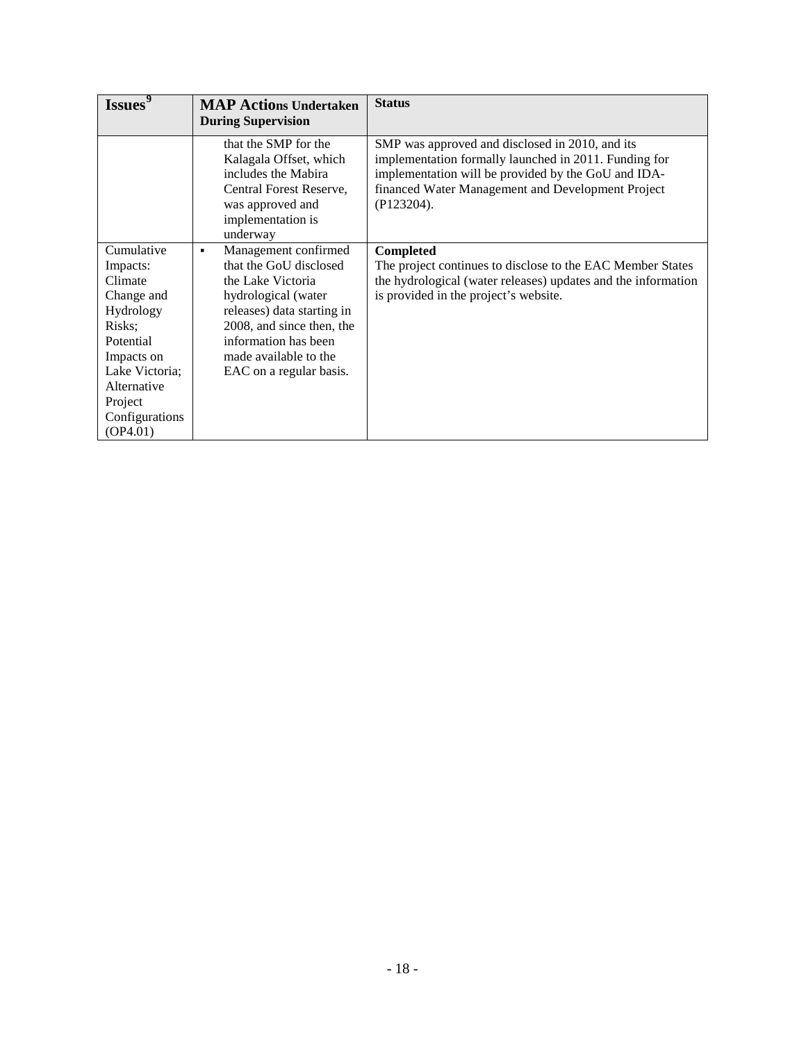| Issues                                                                                                                                                                      | <b>MAP Actions Undertaken</b><br><b>During Supervision</b>                                                                                                                                                                             | <b>Status</b>                                                                                                                                                                                                                      |
|-----------------------------------------------------------------------------------------------------------------------------------------------------------------------------|----------------------------------------------------------------------------------------------------------------------------------------------------------------------------------------------------------------------------------------|------------------------------------------------------------------------------------------------------------------------------------------------------------------------------------------------------------------------------------|
|                                                                                                                                                                             | that the SMP for the<br>Kalagala Offset, which<br>includes the Mabira<br>Central Forest Reserve,<br>was approved and<br>implementation is<br>underway                                                                                  | SMP was approved and disclosed in 2010, and its<br>implementation formally launched in 2011. Funding for<br>implementation will be provided by the GoU and IDA-<br>financed Water Management and Development Project<br>(P123204). |
| Cumulative<br>Impacts:<br>Climate<br>Change and<br>Hydrology<br>Risks;<br>Potential<br>Impacts on<br>Lake Victoria;<br>Alternative<br>Project<br>Configurations<br>(OP4.01) | Management confirmed<br>٠<br>that the GoU disclosed<br>the Lake Victoria<br>hydrological (water<br>releases) data starting in<br>2008, and since then, the<br>information has been<br>made available to the<br>EAC on a regular basis. | Completed<br>The project continues to disclose to the EAC Member States<br>the hydrological (water releases) updates and the information<br>is provided in the project's website.                                                  |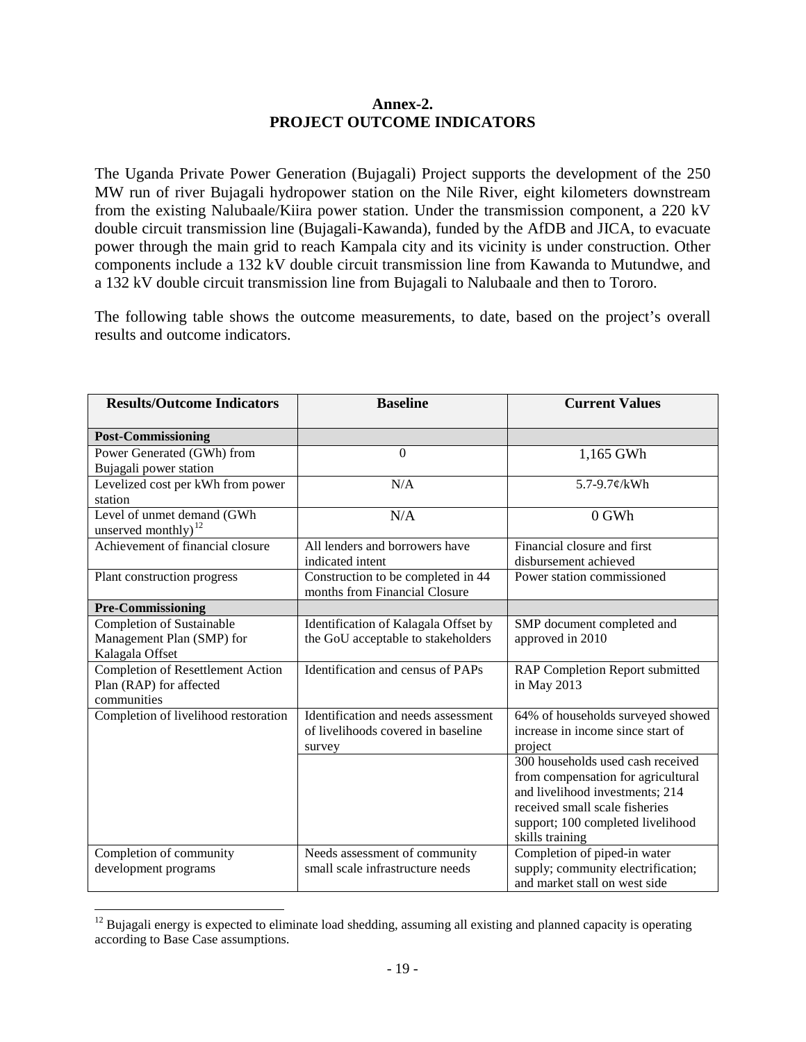#### **Annex-2. PROJECT OUTCOME INDICATORS**

<span id="page-24-0"></span>The Uganda Private Power Generation (Bujagali) Project supports the development of the 250 MW run of river Bujagali hydropower station on the Nile River, eight kilometers downstream from the existing Nalubaale/Kiira power station. Under the transmission component, a 220 kV double circuit transmission line (Bujagali-Kawanda), funded by the AfDB and JICA, to evacuate power through the main grid to reach Kampala city and its vicinity is under construction. Other components include a 132 kV double circuit transmission line from Kawanda to Mutundwe, and a 132 kV double circuit transmission line from Bujagali to Nalubaale and then to Tororo.

The following table shows the outcome measurements, to date, based on the project's overall results and outcome indicators.

| <b>Results/Outcome Indicators</b>                                                  | <b>Baseline</b>                                                                     | <b>Current Values</b>                                                                                                                                                                                |  |  |
|------------------------------------------------------------------------------------|-------------------------------------------------------------------------------------|------------------------------------------------------------------------------------------------------------------------------------------------------------------------------------------------------|--|--|
| <b>Post-Commissioning</b>                                                          |                                                                                     |                                                                                                                                                                                                      |  |  |
| Power Generated (GWh) from<br>Bujagali power station                               | $\boldsymbol{0}$                                                                    | 1,165 GWh                                                                                                                                                                                            |  |  |
| Levelized cost per kWh from power<br>station                                       | N/A                                                                                 | 5.7-9.7¢/kWh                                                                                                                                                                                         |  |  |
| Level of unmet demand (GWh<br>unserved monthly) $^{12}$                            | N/A                                                                                 | $0$ GWh                                                                                                                                                                                              |  |  |
| Achievement of financial closure                                                   | All lenders and borrowers have<br>indicated intent                                  | Financial closure and first<br>disbursement achieved                                                                                                                                                 |  |  |
| Plant construction progress                                                        | Construction to be completed in 44<br>months from Financial Closure                 | Power station commissioned                                                                                                                                                                           |  |  |
| <b>Pre-Commissioning</b>                                                           |                                                                                     |                                                                                                                                                                                                      |  |  |
| Completion of Sustainable<br>Management Plan (SMP) for<br>Kalagala Offset          | Identification of Kalagala Offset by<br>the GoU acceptable to stakeholders          | SMP document completed and<br>approved in 2010                                                                                                                                                       |  |  |
| <b>Completion of Resettlement Action</b><br>Plan (RAP) for affected<br>communities | Identification and census of PAPs                                                   | RAP Completion Report submitted<br>in May 2013                                                                                                                                                       |  |  |
| Completion of livelihood restoration                                               | Identification and needs assessment<br>of livelihoods covered in baseline<br>survey | 64% of households surveyed showed<br>increase in income since start of<br>project                                                                                                                    |  |  |
|                                                                                    |                                                                                     | 300 households used cash received<br>from compensation for agricultural<br>and livelihood investments; 214<br>received small scale fisheries<br>support; 100 completed livelihood<br>skills training |  |  |
| Completion of community<br>development programs                                    | Needs assessment of community<br>small scale infrastructure needs                   | Completion of piped-in water<br>supply; community electrification;<br>and market stall on west side                                                                                                  |  |  |

<span id="page-24-1"></span> $12$  Bujagali energy is expected to eliminate load shedding, assuming all existing and planned capacity is operating according to Base Case assumptions.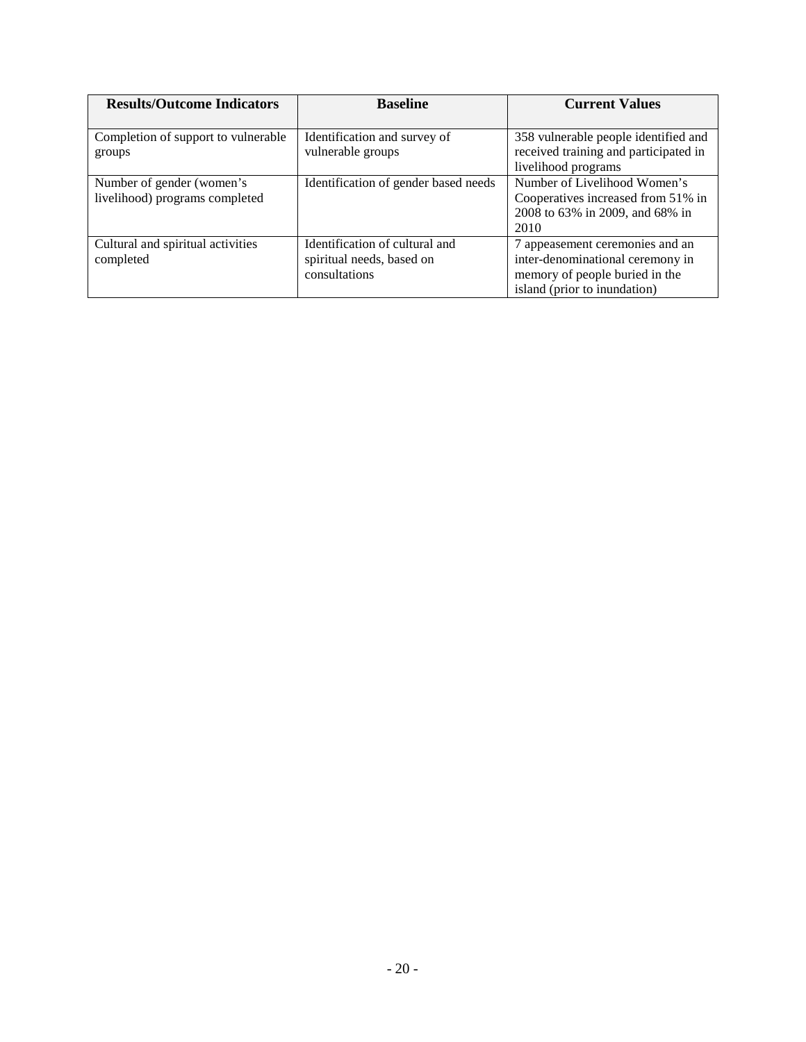| <b>Results/Outcome Indicators</b>   | <b>Baseline</b>                      | <b>Current Values</b>                 |  |  |
|-------------------------------------|--------------------------------------|---------------------------------------|--|--|
|                                     |                                      |                                       |  |  |
| Completion of support to vulnerable | Identification and survey of         | 358 vulnerable people identified and  |  |  |
| groups                              | vulnerable groups                    | received training and participated in |  |  |
|                                     |                                      | livelihood programs                   |  |  |
| Number of gender (women's           | Identification of gender based needs | Number of Livelihood Women's          |  |  |
| livelihood) programs completed      |                                      | Cooperatives increased from 51% in    |  |  |
|                                     |                                      | 2008 to 63% in 2009, and 68% in       |  |  |
|                                     |                                      | 2010                                  |  |  |
| Cultural and spiritual activities   | Identification of cultural and       | 7 appeasement ceremonies and an       |  |  |
| completed                           | spiritual needs, based on            | inter-denominational ceremony in      |  |  |
|                                     | consultations                        | memory of people buried in the        |  |  |
|                                     |                                      | island (prior to inundation)          |  |  |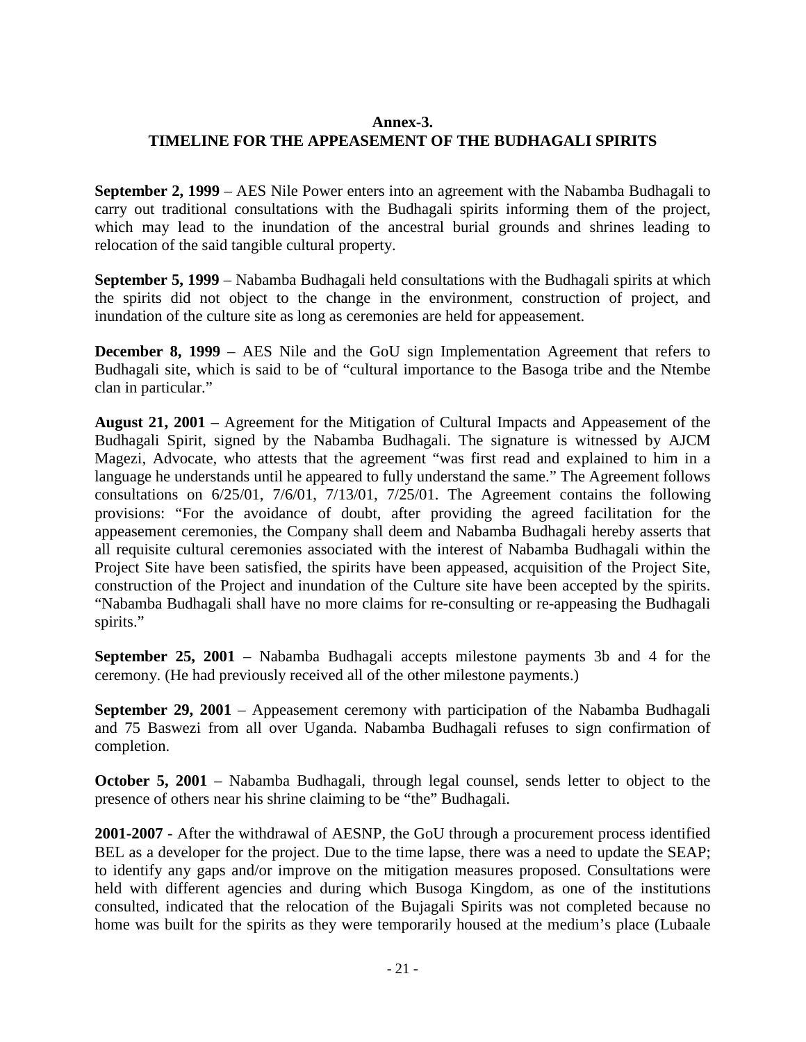#### **Annex-3.**

### <span id="page-26-0"></span>**TIMELINE FOR THE APPEASEMENT OF THE BUDHAGALI SPIRITS**

**September 2, 1999** – AES Nile Power enters into an agreement with the Nabamba Budhagali to carry out traditional consultations with the Budhagali spirits informing them of the project, which may lead to the inundation of the ancestral burial grounds and shrines leading to relocation of the said tangible cultural property.

**September 5, 1999** – Nabamba Budhagali held consultations with the Budhagali spirits at which the spirits did not object to the change in the environment, construction of project, and inundation of the culture site as long as ceremonies are held for appeasement.

**December 8, 1999** – AES Nile and the GoU sign Implementation Agreement that refers to Budhagali site, which is said to be of "cultural importance to the Basoga tribe and the Ntembe clan in particular."

**August 21, 2001** – Agreement for the Mitigation of Cultural Impacts and Appeasement of the Budhagali Spirit, signed by the Nabamba Budhagali. The signature is witnessed by AJCM Magezi, Advocate, who attests that the agreement "was first read and explained to him in a language he understands until he appeared to fully understand the same." The Agreement follows consultations on 6/25/01, 7/6/01, 7/13/01, 7/25/01. The Agreement contains the following provisions: "For the avoidance of doubt, after providing the agreed facilitation for the appeasement ceremonies, the Company shall deem and Nabamba Budhagali hereby asserts that all requisite cultural ceremonies associated with the interest of Nabamba Budhagali within the Project Site have been satisfied, the spirits have been appeased, acquisition of the Project Site, construction of the Project and inundation of the Culture site have been accepted by the spirits. "Nabamba Budhagali shall have no more claims for re-consulting or re-appeasing the Budhagali spirits."

**September 25, 2001** – Nabamba Budhagali accepts milestone payments 3b and 4 for the ceremony. (He had previously received all of the other milestone payments.)

**September 29, 2001** – Appeasement ceremony with participation of the Nabamba Budhagali and 75 Baswezi from all over Uganda. Nabamba Budhagali refuses to sign confirmation of completion.

**October 5, 2001** – Nabamba Budhagali, through legal counsel, sends letter to object to the presence of others near his shrine claiming to be "the" Budhagali.

**2001-2007** - After the withdrawal of AESNP, the GoU through a procurement process identified BEL as a developer for the project. Due to the time lapse, there was a need to update the SEAP; to identify any gaps and/or improve on the mitigation measures proposed. Consultations were held with different agencies and during which Busoga Kingdom, as one of the institutions consulted, indicated that the relocation of the Bujagali Spirits was not completed because no home was built for the spirits as they were temporarily housed at the medium's place (Lubaale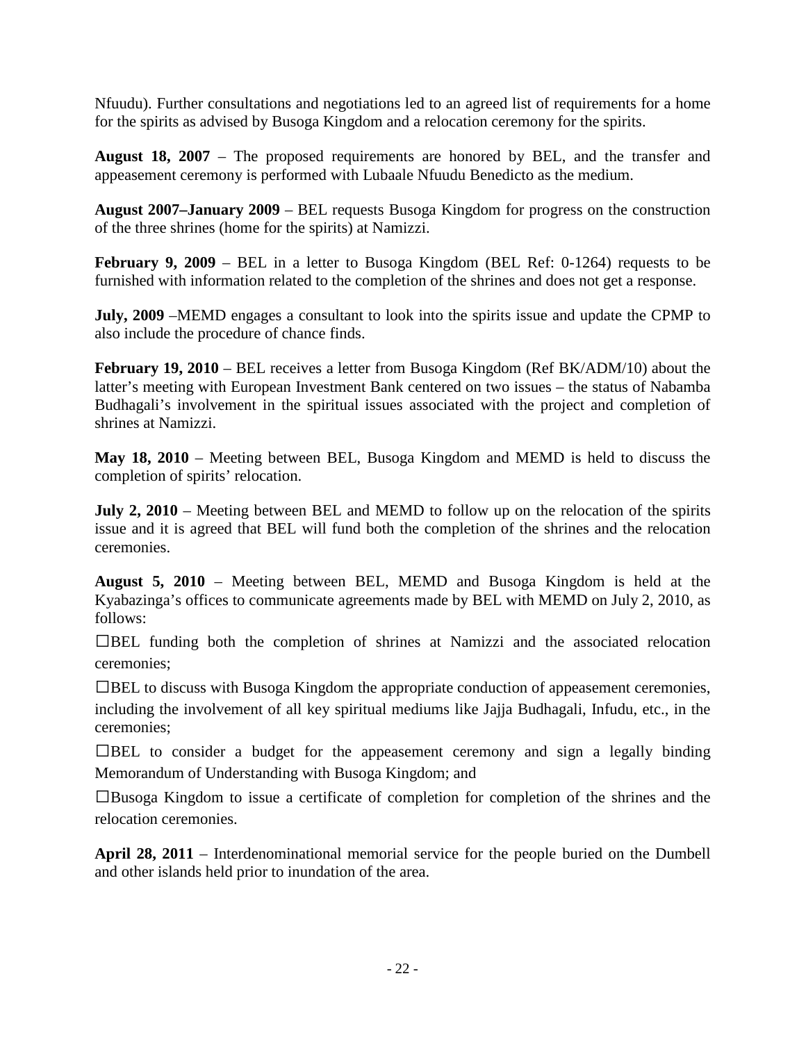Nfuudu). Further consultations and negotiations led to an agreed list of requirements for a home for the spirits as advised by Busoga Kingdom and a relocation ceremony for the spirits.

**August 18, 2007** – The proposed requirements are honored by BEL, and the transfer and appeasement ceremony is performed with Lubaale Nfuudu Benedicto as the medium.

**August 2007–January 2009** – BEL requests Busoga Kingdom for progress on the construction of the three shrines (home for the spirits) at Namizzi.

**February 9, 2009** – BEL in a letter to Busoga Kingdom (BEL Ref: 0-1264) requests to be furnished with information related to the completion of the shrines and does not get a response.

**July, 2009** –MEMD engages a consultant to look into the spirits issue and update the CPMP to also include the procedure of chance finds.

February 19, 2010 – BEL receives a letter from Busoga Kingdom (Ref BK/ADM/10) about the latter's meeting with European Investment Bank centered on two issues – the status of Nabamba Budhagali's involvement in the spiritual issues associated with the project and completion of shrines at Namizzi.

**May 18, 2010** – Meeting between BEL, Busoga Kingdom and MEMD is held to discuss the completion of spirits' relocation.

**July 2, 2010** – Meeting between BEL and MEMD to follow up on the relocation of the spirits issue and it is agreed that BEL will fund both the completion of the shrines and the relocation ceremonies.

**August 5, 2010** – Meeting between BEL, MEMD and Busoga Kingdom is held at the Kyabazinga's offices to communicate agreements made by BEL with MEMD on July 2, 2010, as follows:

 $\Box$ BEL funding both the completion of shrines at Namizzi and the associated relocation ceremonies;

BEL to discuss with Busoga Kingdom the appropriate conduction of appeasement ceremonies, including the involvement of all key spiritual mediums like Jajja Budhagali, Infudu, etc., in the ceremonies;

 $\Box$ BEL to consider a budget for the appeasement ceremony and sign a legally binding Memorandum of Understanding with Busoga Kingdom; and

Busoga Kingdom to issue a certificate of completion for completion of the shrines and the relocation ceremonies.

**April 28, 2011** – Interdenominational memorial service for the people buried on the Dumbell and other islands held prior to inundation of the area.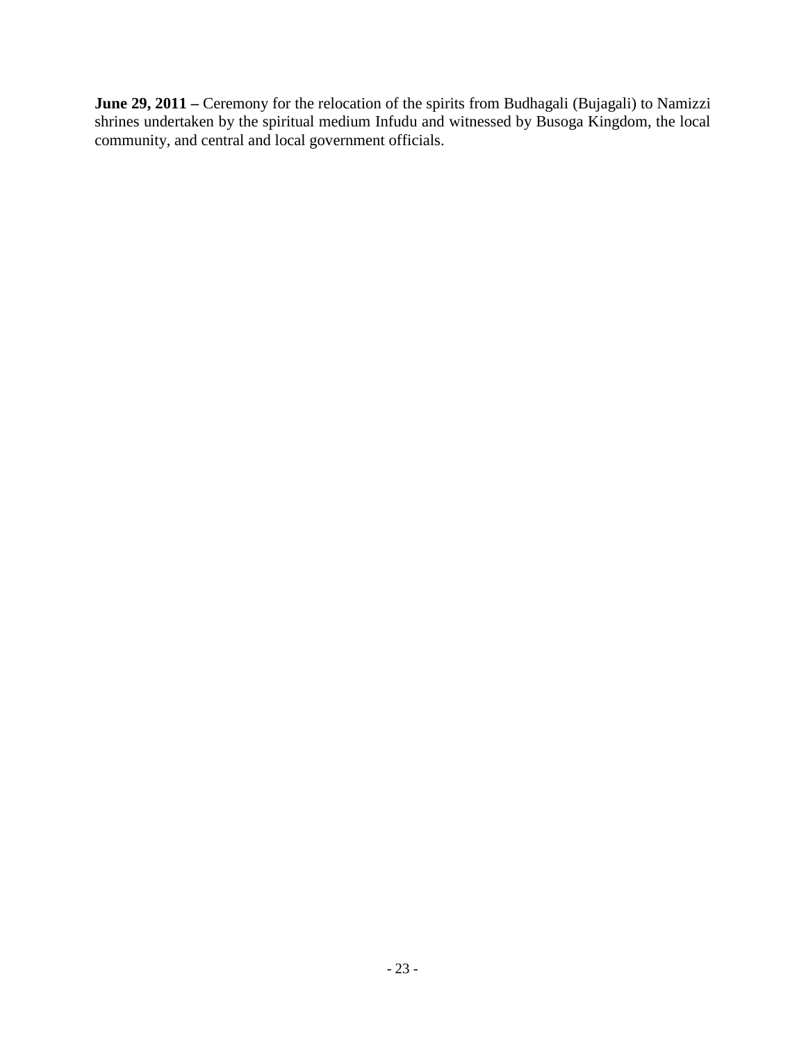**June 29, 2011 –** Ceremony for the relocation of the spirits from Budhagali (Bujagali) to Namizzi shrines undertaken by the spiritual medium Infudu and witnessed by Busoga Kingdom, the local community, and central and local government officials.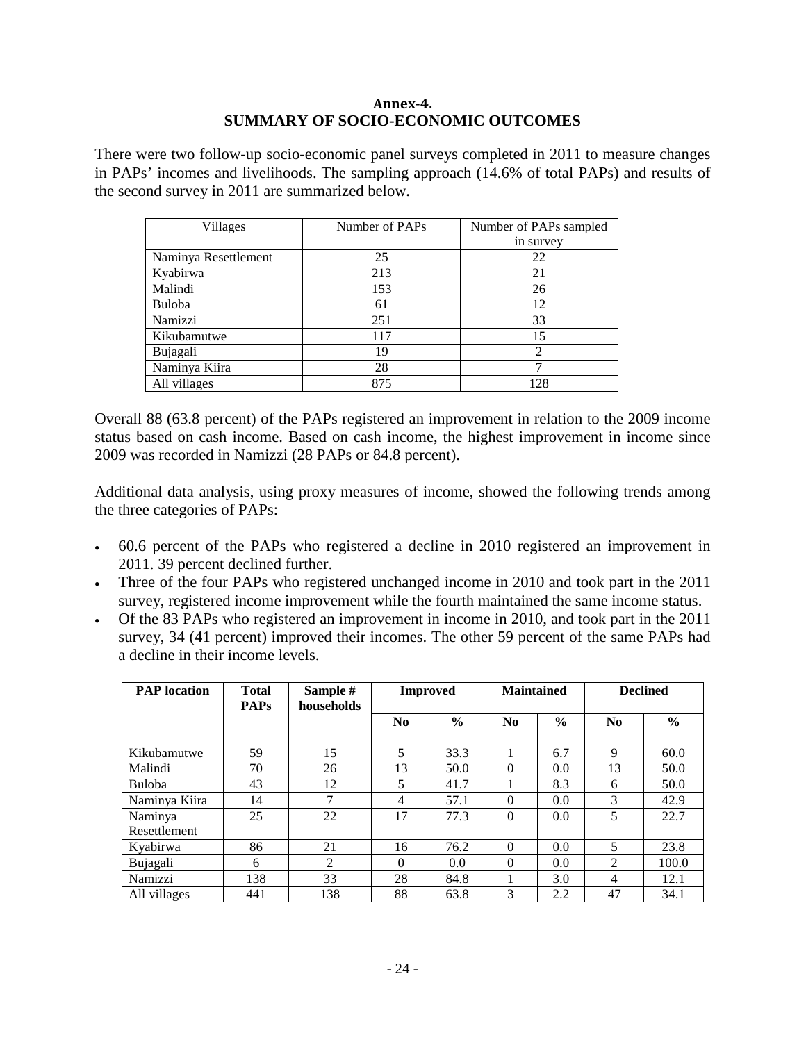#### **Annex-4. SUMMARY OF SOCIO-ECONOMIC OUTCOMES**

<span id="page-29-0"></span>There were two follow-up socio-economic panel surveys completed in 2011 to measure changes in PAPs' incomes and livelihoods. The sampling approach (14.6% of total PAPs) and results of the second survey in 2011 are summarized below**.**

| Villages             | Number of PAPs | Number of PAPs sampled |  |  |
|----------------------|----------------|------------------------|--|--|
|                      |                | in survey              |  |  |
| Naminya Resettlement | 25             | 22                     |  |  |
| Kyabirwa             | 213            | 21                     |  |  |
| Malindi              | 153            | 26                     |  |  |
| Buloba               | 61             | 12                     |  |  |
| Namizzi              | 251            | 33                     |  |  |
| Kikubamutwe          | 117            | 15                     |  |  |
| Bujagali             | 19             | 2                      |  |  |
| Naminya Kiira        | 28             | ¬                      |  |  |
| All villages         | 875            | 128                    |  |  |

Overall 88 (63.8 percent) of the PAPs registered an improvement in relation to the 2009 income status based on cash income. Based on cash income, the highest improvement in income since 2009 was recorded in Namizzi (28 PAPs or 84.8 percent).

Additional data analysis, using proxy measures of income, showed the following trends among the three categories of PAPs:

- 60.6 percent of the PAPs who registered a decline in 2010 registered an improvement in 2011. 39 percent declined further.
- Three of the four PAPs who registered unchanged income in 2010 and took part in the 2011 survey, registered income improvement while the fourth maintained the same income status.
- Of the 83 PAPs who registered an improvement in income in 2010, and took part in the 2011 survey, 34 (41 percent) improved their incomes. The other 59 percent of the same PAPs had a decline in their income levels.

| <b>PAP</b> location | <b>Total</b><br><b>PAPs</b> | Sample #<br>households | <b>Improved</b> |               | <b>Maintained</b> |               | <b>Declined</b> |               |
|---------------------|-----------------------------|------------------------|-----------------|---------------|-------------------|---------------|-----------------|---------------|
|                     |                             |                        | N <sub>0</sub>  | $\frac{6}{6}$ | N <sub>0</sub>    | $\frac{6}{6}$ | No.             | $\frac{6}{9}$ |
| Kikubamutwe         | 59                          | 15                     | 5               | 33.3          |                   | 6.7           | 9               | 60.0          |
| Malindi             | 70                          | 26                     | 13              | 50.0          | $\Omega$          | 0.0           | 13              | 50.0          |
| <b>Buloba</b>       | 43                          | 12                     | 5               | 41.7          |                   | 8.3           | 6               | 50.0          |
| Naminya Kiira       | 14                          | 7                      | $\overline{4}$  | 57.1          | $\Omega$          | 0.0           | 3               | 42.9          |
| Naminya             | 25                          | 22                     | 17              | 77.3          | $\theta$          | 0.0           | 5               | 22.7          |
| Resettlement        |                             |                        |                 |               |                   |               |                 |               |
| Kyabirwa            | 86                          | 21                     | 16              | 76.2          | $\Omega$          | 0.0           | 5               | 23.8          |
| Bujagali            | 6                           | 2                      | $\Omega$        | 0.0           | $\Omega$          | 0.0           | 2               | 100.0         |
| Namizzi             | 138                         | 33                     | 28              | 84.8          |                   | 3.0           | 4               | 12.1          |
| All villages        | 441                         | 138                    | 88              | 63.8          | 3                 | 2.2           | 47              | 34.1          |